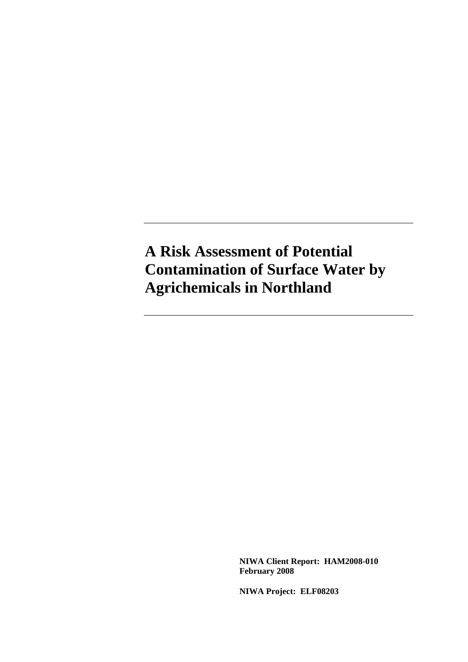# **A Risk Assessment of Potential Contamination of Surface Water by Agrichemicals in Northland**

**NIWA Client Report: HAM2008-010 February 2008** 

**NIWA Project: ELF08203**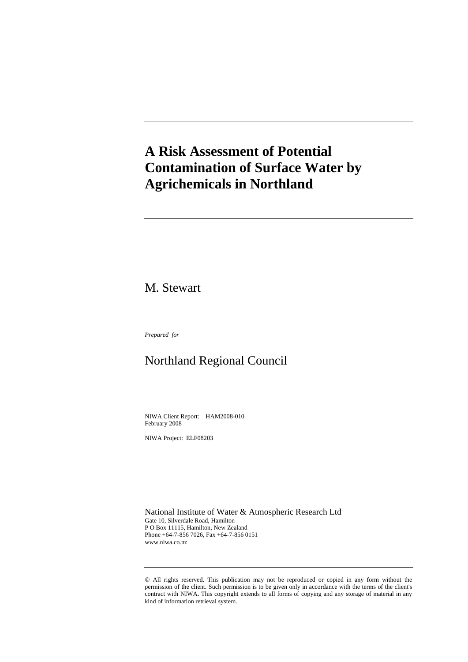## **A Risk Assessment of Potential Contamination of Surface Water by Agrichemicals in Northland**

## M. Stewart

*Prepared for* 

## Northland Regional Council

NIWA Client Report: HAM2008-010 February 2008

NIWA Project: ELF08203

National Institute of Water & Atmospheric Research Ltd Gate 10, Silverdale Road, Hamilton P O Box 11115, Hamilton, New Zealand Phone +64-7-856 7026, Fax +64-7-856 0151 www.niwa.co.nz

<sup>©</sup> All rights reserved. This publication may not be reproduced or copied in any form without the permission of the client. Such permission is to be given only in accordance with the terms of the client's contract with NIWA. This copyright extends to all forms of copying and any storage of material in any kind of information retrieval system.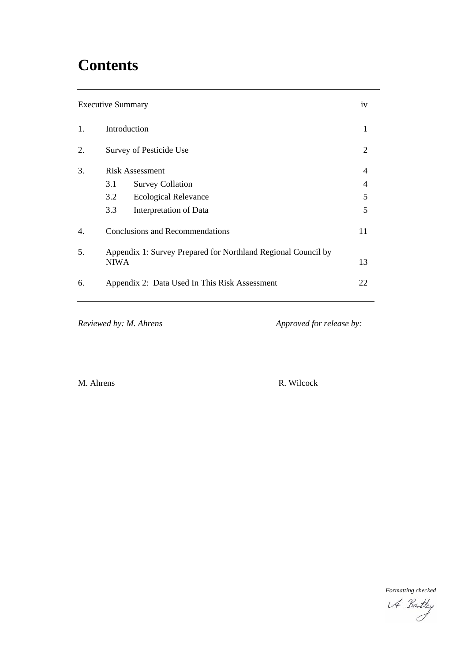# **Contents**

|    | <b>Executive Summary</b> |                                                               | iv |  |  |  |
|----|--------------------------|---------------------------------------------------------------|----|--|--|--|
| 1. | Introduction             |                                                               | 1  |  |  |  |
| 2. | Survey of Pesticide Use  |                                                               |    |  |  |  |
| 3. |                          | <b>Risk Assessment</b>                                        | 4  |  |  |  |
|    | 3.1                      | <b>Survey Collation</b>                                       | 4  |  |  |  |
|    | 3.2                      | <b>Ecological Relevance</b>                                   | 5  |  |  |  |
|    | 3.3                      | Interpretation of Data                                        | 5  |  |  |  |
| 4. |                          | Conclusions and Recommendations                               | 11 |  |  |  |
| 5. | <b>NIWA</b>              | Appendix 1: Survey Prepared for Northland Regional Council by | 13 |  |  |  |
| 6. |                          | Appendix 2: Data Used In This Risk Assessment                 | 22 |  |  |  |

*Reviewed by: M. Ahrens Approved for release by:* 

M. Ahrens R. Wilcock

*Formatting checked* 

A. Bartley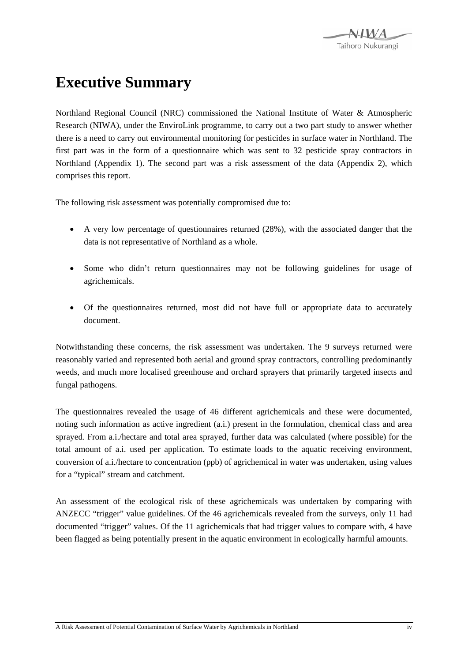# **Executive Summary**

Northland Regional Council (NRC) commissioned the National Institute of Water & Atmospheric Research (NIWA), under the EnviroLink programme, to carry out a two part study to answer whether there is a need to carry out environmental monitoring for pesticides in surface water in Northland. The first part was in the form of a questionnaire which was sent to 32 pesticide spray contractors in Northland (Appendix 1). The second part was a risk assessment of the data (Appendix 2), which comprises this report.

The following risk assessment was potentially compromised due to:

- A very low percentage of questionnaires returned (28%), with the associated danger that the data is not representative of Northland as a whole.
- Some who didn't return questionnaires may not be following guidelines for usage of agrichemicals.
- Of the questionnaires returned, most did not have full or appropriate data to accurately document.

Notwithstanding these concerns, the risk assessment was undertaken. The 9 surveys returned were reasonably varied and represented both aerial and ground spray contractors, controlling predominantly weeds, and much more localised greenhouse and orchard sprayers that primarily targeted insects and fungal pathogens.

The questionnaires revealed the usage of 46 different agrichemicals and these were documented, noting such information as active ingredient (a.i.) present in the formulation, chemical class and area sprayed. From a.i./hectare and total area sprayed, further data was calculated (where possible) for the total amount of a.i. used per application. To estimate loads to the aquatic receiving environment, conversion of a.i./hectare to concentration (ppb) of agrichemical in water was undertaken, using values for a "typical" stream and catchment.

An assessment of the ecological risk of these agrichemicals was undertaken by comparing with ANZECC "trigger" value guidelines. Of the 46 agrichemicals revealed from the surveys, only 11 had documented "trigger" values. Of the 11 agrichemicals that had trigger values to compare with, 4 have been flagged as being potentially present in the aquatic environment in ecologically harmful amounts.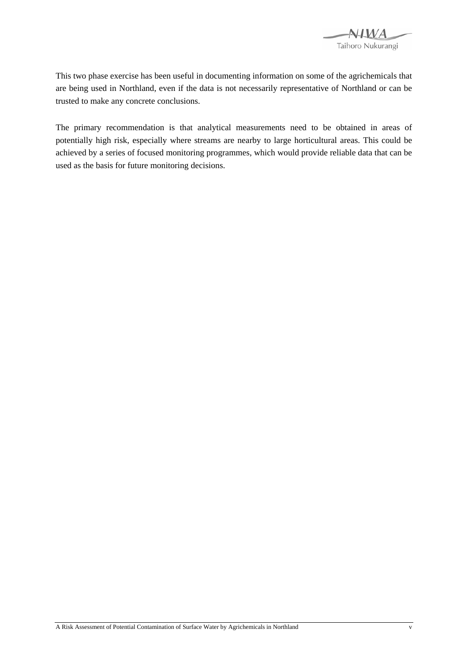

This two phase exercise has been useful in documenting information on some of the agrichemicals that are being used in Northland, even if the data is not necessarily representative of Northland or can be trusted to make any concrete conclusions.

The primary recommendation is that analytical measurements need to be obtained in areas of potentially high risk, especially where streams are nearby to large horticultural areas. This could be achieved by a series of focused monitoring programmes, which would provide reliable data that can be used as the basis for future monitoring decisions.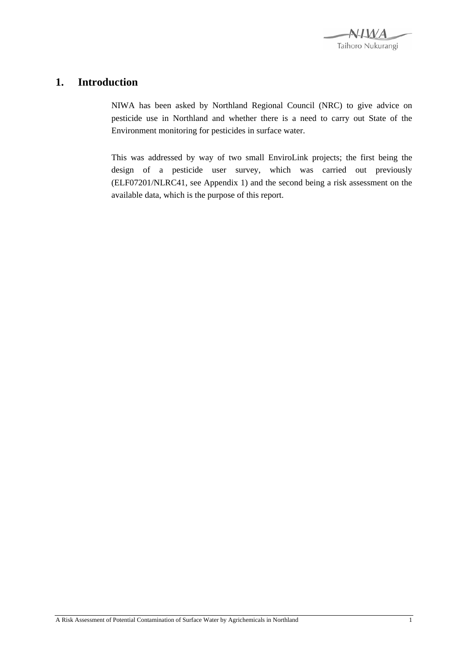

## <span id="page-5-1"></span><span id="page-5-0"></span>**1. Introduction**

NIWA has been asked by Northland Regional Council (NRC) to give advice on pesticide use in Northland and whether there is a need to carry out State of the Environment monitoring for pesticides in surface water.

This was addressed by way of two small EnviroLink projects; the first being the design of a pesticide user survey, which was carried out previously (ELF07201/NLRC41, see Appendix 1) and the second being a risk assessment on the available data, which is the purpose of this report.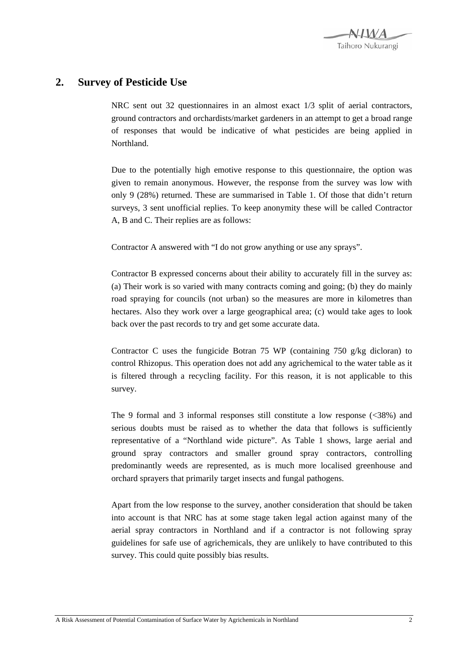

### <span id="page-6-1"></span><span id="page-6-0"></span>**2. Survey of Pesticide Use**

NRC sent out 32 questionnaires in an almost exact 1/3 split of aerial contractors, ground contractors and orchardists/market gardeners in an attempt to get a broad range of responses that would be indicative of what pesticides are being applied in Northland.

Due to the potentially high emotive response to this questionnaire, the option was given to remain anonymous. However, the response from the survey was low with only 9 (28%) returned. These are summarised in Table 1. Of those that didn't return surveys, 3 sent unofficial replies. To keep anonymity these will be called Contractor A, B and C. Their replies are as follows:

Contractor A answered with "I do not grow anything or use any sprays".

Contractor B expressed concerns about their ability to accurately fill in the survey as: (a) Their work is so varied with many contracts coming and going; (b) they do mainly road spraying for councils (not urban) so the measures are more in kilometres than hectares. Also they work over a large geographical area; (c) would take ages to look back over the past records to try and get some accurate data.

Contractor C uses the fungicide Botran 75 WP (containing 750 g/kg dicloran) to control Rhizopus. This operation does not add any agrichemical to the water table as it is filtered through a recycling facility. For this reason, it is not applicable to this survey.

The 9 formal and 3 informal responses still constitute a low response (<38%) and serious doubts must be raised as to whether the data that follows is sufficiently representative of a "Northland wide picture". As Table 1 shows, large aerial and ground spray contractors and smaller ground spray contractors, controlling predominantly weeds are represented, as is much more localised greenhouse and orchard sprayers that primarily target insects and fungal pathogens.

Apart from the low response to the survey, another consideration that should be taken into account is that NRC has at some stage taken legal action against many of the aerial spray contractors in Northland and if a contractor is not following spray guidelines for safe use of agrichemicals, they are unlikely to have contributed to this survey. This could quite possibly bias results.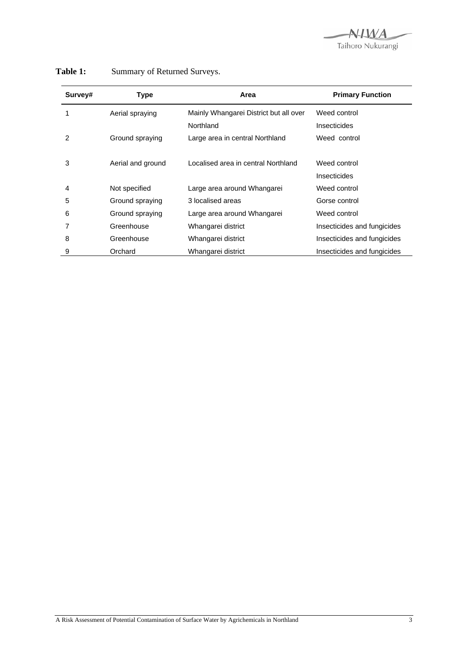

| Survey# | <b>Type</b>       | Area                                   | <b>Primary Function</b>     |
|---------|-------------------|----------------------------------------|-----------------------------|
|         | Aerial spraying   | Mainly Whangarei District but all over | Weed control                |
|         |                   | Northland                              | Insecticides                |
| 2       | Ground spraying   | Large area in central Northland        | Weed control                |
| 3       | Aerial and ground | Localised area in central Northland    | Weed control                |
|         |                   |                                        | Insecticides                |
| 4       | Not specified     | Large area around Whangarei            | Weed control                |
| 5       | Ground spraying   | 3 localised areas                      | Gorse control               |
| 6       | Ground spraying   | Large area around Whangarei            | Weed control                |
| 7       | Greenhouse        | Whangarei district                     | Insecticides and fungicides |
| 8       | Greenhouse        | Whangarei district                     | Insecticides and fungicides |
| 9       | Orchard           | Whangarei district                     | Insecticides and fungicides |

| Table 1: | Summary of Returned Surveys. |
|----------|------------------------------|
|----------|------------------------------|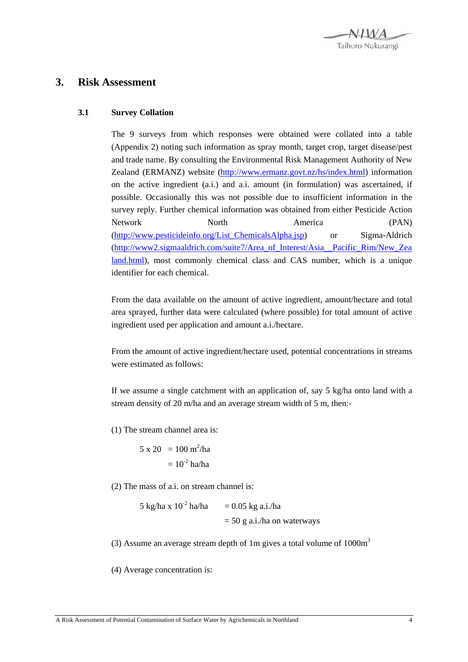

### <span id="page-8-2"></span><span id="page-8-1"></span><span id="page-8-0"></span>**3. Risk Assessment**

#### **3.1 Survey Collation**

The 9 surveys from which responses were obtained were collated into a table (Appendix 2) noting such information as spray month, target crop, target disease/pest and trade name. By consulting the Environmental Risk Management Authority of New Zealand (ERMANZ) website ([http://www.ermanz.govt.nz/hs/index.html\)](http://www.ermanz.govt.nz/hs/index.html) information on the active ingredient (a.i.) and a.i. amount (in formulation) was ascertained, if possible. Occasionally this was not possible due to insufficient information in the survey reply. Further chemical information was obtained from either Pesticide Action Network North North America (PAN) [\(http://www.pesticideinfo.org/List\\_ChemicalsAlpha.jsp](http://www.pesticideinfo.org/List_ChemicalsAlpha.jsp)) or Sigma-Aldrich [\(http://www2.sigmaaldrich.com/suite7/Area\\_of\\_Interest/Asia\\_\\_Pacific\\_Rim/New\\_Zea](http://www2.sigmaaldrich.com/suite7/Area_of_Interest/Asia__Pacific_Rim/New_Zealand.html) [land.html\)](http://www2.sigmaaldrich.com/suite7/Area_of_Interest/Asia__Pacific_Rim/New_Zealand.html), most commonly chemical class and CAS number, which is a unique identifier for each chemical.

From the data available on the amount of active ingredient, amount/hectare and total area sprayed, further data were calculated (where possible) for total amount of active ingredient used per application and amount a.i./hectare.

From the amount of active ingredient/hectare used, potential concentrations in streams were estimated as follows:

If we assume a single catchment with an application of, say 5 kg/ha onto land with a stream density of 20 m/ha and an average stream width of 5 m, then:-

(1) The stream channel area is:

$$
5 \times 20 = 100 \text{ m}^2/\text{ha}
$$

$$
= 10^2 \text{ ha/ha}
$$

(2) The mass of a.i. on stream channel is:

5 kg/ha x  $10^{-2}$  ha/ha = 0.05 kg a.i./ha  $= 50$  g a.i./ha on waterways

(3) Assume an average stream depth of 1m gives a total volume of  $1000m<sup>3</sup>$ 

(4) Average concentration is: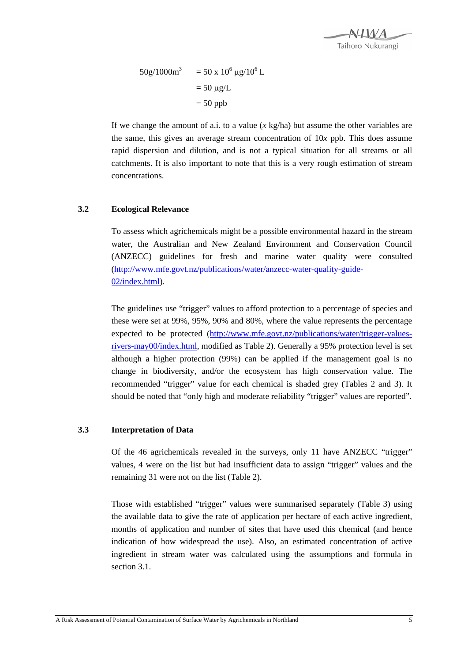NJ WA Taihoro Nukurangi

<span id="page-9-0"></span> $50g/1000m^3$  $= 50 \times 10^6 \mu g/10^6 L$  $= 50 \mu g/L$  $= 50$  ppb

If we change the amount of a.i. to a value (*x* kg/ha) but assume the other variables are the same, this gives an average stream concentration of  $10x$  ppb. This does assume rapid dispersion and dilution, and is not a typical situation for all streams or all catchments. It is also important to note that this is a very rough estimation of stream concentrations.

#### <span id="page-9-1"></span>**3.2 Ecological Relevance**

To assess which agrichemicals might be a possible environmental hazard in the stream water, the Australian and New Zealand Environment and Conservation Council (ANZECC) guidelines for fresh and marine water quality were consulted [\(http://www.mfe.govt.nz/publications/water/anzecc-water-quality-guide-](http://www.mfe.govt.nz/publications/water/anzecc-water-quality-guide-02/index.html)[02/index.html](http://www.mfe.govt.nz/publications/water/anzecc-water-quality-guide-02/index.html)).

The guidelines use "trigger" values to afford protection to a percentage of species and these were set at 99%, 95%, 90% and 80%, where the value represents the percentage expected to be protected [\(http://www.mfe.govt.nz/publications/water/trigger-values](http://www.mfe.govt.nz/publications/water/trigger-values-rivers-may00/index.html)[rivers-may00/index.html,](http://www.mfe.govt.nz/publications/water/trigger-values-rivers-may00/index.html) modified as Table 2). Generally a 95% protection level is set although a higher protection (99%) can be applied if the management goal is no change in biodiversity, and/or the ecosystem has high conservation value. The recommended "trigger" value for each chemical is shaded grey (Tables 2 and 3). It should be noted that "only high and moderate reliability "trigger" values are reported".

#### <span id="page-9-2"></span>**3.3 Interpretation of Data**

Of the 46 agrichemicals revealed in the surveys, only 11 have ANZECC "trigger" values, 4 were on the list but had insufficient data to assign "trigger" values and the remaining 31 were not on the list (Table 2).

Those with established "trigger" values were summarised separately (Table 3) using the available data to give the rate of application per hectare of each active ingredient, months of application and number of sites that have used this chemical (and hence indication of how widespread the use). Also, an estimated concentration of active ingredient in stream water was calculated using the assumptions and formula in section 3.1.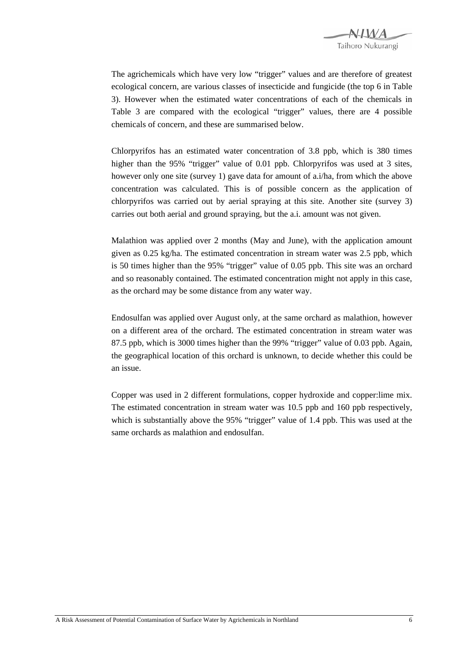The agrichemicals which have very low "trigger" values and are therefore of greatest ecological concern, are various classes of insecticide and fungicide (the top 6 in Table 3). However when the estimated water concentrations of each of the chemicals in Table 3 are compared with the ecological "trigger" values, there are 4 possible chemicals of concern, and these are summarised below.

Chlorpyrifos has an estimated water concentration of 3.8 ppb, which is 380 times higher than the 95% "trigger" value of 0.01 ppb. Chlorpyrifos was used at 3 sites, however only one site (survey 1) gave data for amount of a.i/ha, from which the above concentration was calculated. This is of possible concern as the application of chlorpyrifos was carried out by aerial spraying at this site. Another site (survey 3) carries out both aerial and ground spraying, but the a.i. amount was not given.

Malathion was applied over 2 months (May and June), with the application amount given as 0.25 kg/ha. The estimated concentration in stream water was 2.5 ppb, which is 50 times higher than the 95% "trigger" value of 0.05 ppb. This site was an orchard and so reasonably contained. The estimated concentration might not apply in this case, as the orchard may be some distance from any water way.

Endosulfan was applied over August only, at the same orchard as malathion, however on a different area of the orchard. The estimated concentration in stream water was 87.5 ppb, which is 3000 times higher than the 99% "trigger" value of 0.03 ppb. Again, the geographical location of this orchard is unknown, to decide whether this could be an issue.

Copper was used in 2 different formulations, copper hydroxide and copper:lime mix. The estimated concentration in stream water was 10.5 ppb and 160 ppb respectively, which is substantially above the 95% "trigger" value of 1.4 ppb. This was used at the same orchards as malathion and endosulfan.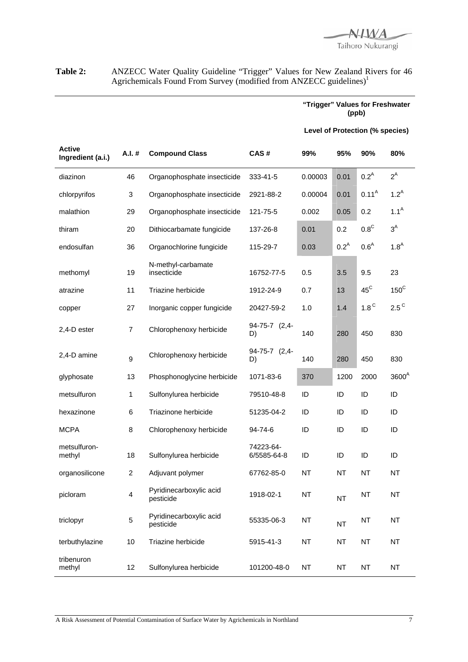Table 2: ANZECC Water Quality Guideline "Trigger" Values for New Zealand Rivers for 46 Agrichemicals Found From Survey (modified from ANZECC guidelines)<sup>1</sup>

|       | "Trigger" Values for Freshwater |
|-------|---------------------------------|
| (ppb) |                                 |

#### **Level of Protection (% species)**

| <b>Active</b><br>Ingredient (a.i.) | A.I. #         | <b>Compound Class</b>                | CAS#                     | 99%       | 95%       | 90%              | 80%               |
|------------------------------------|----------------|--------------------------------------|--------------------------|-----------|-----------|------------------|-------------------|
| diazinon                           | 46             | Organophosphate insecticide          | 333-41-5                 | 0.00003   | 0.01      | $0.2^{\text{A}}$ | $2^A$             |
| chlorpyrifos                       | 3              | Organophosphate insecticide          | 2921-88-2                | 0.00004   | 0.01      | $0.11^{A}$       | $1.2^A$           |
| malathion                          | 29             | Organophosphate insecticide          | 121-75-5                 | 0.002     | 0.05      | 0.2              | $1.1^A$           |
| thiram                             | 20             | Dithiocarbamate fungicide            | 137-26-8                 | 0.01      | 0.2       | $0.8^{\circ}$    | $3^A$             |
| endosulfan                         | 36             | Organochlorine fungicide             | 115-29-7                 | 0.03      | $0.2^A$   | 0.6 <sup>A</sup> | $1.8^{A}$         |
| methomyl                           | 19             | N-methyl-carbamate<br>insecticide    | 16752-77-5               | 0.5       | 3.5       | 9.5              | 23                |
| atrazine                           | 11             | Triazine herbicide                   | 1912-24-9                | 0.7       | 13        | $45^{\circ}$     | $150^{\circ}$     |
| copper                             | 27             | Inorganic copper fungicide           | 20427-59-2               | 1.0       | 1.4       | 1.8 <sup>C</sup> | $2.5^{\circ}$     |
| 2,4-D ester                        | $\overline{7}$ | Chlorophenoxy herbicide              | 94-75-7 (2,4-<br>D)      | 140       | 280       | 450              | 830               |
| 2,4-D amine                        | 9              | Chlorophenoxy herbicide              | 94-75-7 (2,4-<br>D)      | 140       | 280       | 450              | 830               |
| glyphosate                         | 13             | Phosphonoglycine herbicide           | 1071-83-6                | 370       | 1200      | 2000             | 3600 <sup>A</sup> |
| metsulfuron                        | 1              | Sulfonylurea herbicide               | 79510-48-8               | ID        | ID        | ID               | ID                |
| hexazinone                         | 6              | Triazinone herbicide                 | 51235-04-2               | ID        | ID        | ID               | ID                |
| <b>MCPA</b>                        | $\, 8$         | Chlorophenoxy herbicide              | 94-74-6                  | ID        | ID        | ID               | ID                |
| metsulfuron-<br>methyl             | 18             | Sulfonylurea herbicide               | 74223-64-<br>6/5585-64-8 | ID        | ID        | ID               | ID                |
| organosilicone                     | $\overline{2}$ | Adjuvant polymer                     | 67762-85-0               | <b>NT</b> | <b>NT</b> | <b>NT</b>        | <b>NT</b>         |
| picloram                           | 4              | Pyridinecarboxylic acid<br>pesticide | 1918-02-1                | ΝT        | <b>NT</b> | NT               | NT                |
| triclopyr                          | $\mathbf 5$    | Pyridinecarboxylic acid<br>pesticide | 55335-06-3               | <b>NT</b> | <b>NT</b> | <b>NT</b>        | <b>NT</b>         |
| terbuthylazine                     | 10             | Triazine herbicide                   | 5915-41-3                | <b>NT</b> | <b>NT</b> | <b>NT</b>        | <b>NT</b>         |
| tribenuron<br>methyl               | 12             | Sulfonylurea herbicide               | 101200-48-0              | <b>NT</b> | NT        | <b>NT</b>        | <b>NT</b>         |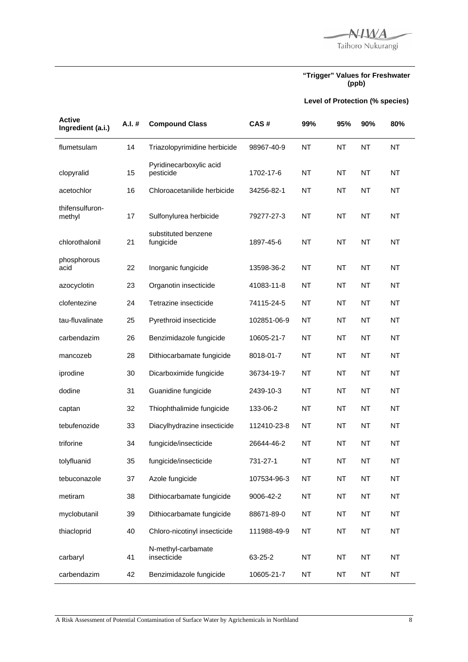

#### **"Trigger" Values for Freshwater (ppb)**

## **Level of Protection (% species)**

| <b>Active</b><br>Ingredient (a.i.) | A.I. # | <b>Compound Class</b>                | CAS#        | 99%       | 95%       | 90%       | 80%       |
|------------------------------------|--------|--------------------------------------|-------------|-----------|-----------|-----------|-----------|
| flumetsulam                        | 14     | Triazolopyrimidine herbicide         | 98967-40-9  | <b>NT</b> | NT        | <b>NT</b> | <b>NT</b> |
| clopyralid                         | 15     | Pyridinecarboxylic acid<br>pesticide | 1702-17-6   | <b>NT</b> | NT        | <b>NT</b> | <b>NT</b> |
| acetochlor                         | 16     | Chloroacetanilide herbicide          | 34256-82-1  | <b>NT</b> | <b>NT</b> | <b>NT</b> | <b>NT</b> |
| thifensulfuron-<br>methyl          | 17     | Sulfonylurea herbicide               | 79277-27-3  | <b>NT</b> | NT        | <b>NT</b> | <b>NT</b> |
| chlorothalonil                     | 21     | substituted benzene<br>fungicide     | 1897-45-6   | <b>NT</b> | <b>NT</b> | <b>NT</b> | <b>NT</b> |
| phosphorous<br>acid                | 22     | Inorganic fungicide                  | 13598-36-2  | <b>NT</b> | NT        | <b>NT</b> | <b>NT</b> |
| azocyclotin                        | 23     | Organotin insecticide                | 41083-11-8  | <b>NT</b> | NT        | <b>NT</b> | <b>NT</b> |
| clofentezine                       | 24     | Tetrazine insecticide                | 74115-24-5  | <b>NT</b> | NT        | <b>NT</b> | <b>NT</b> |
| tau-fluvalinate                    | 25     | Pyrethroid insecticide               | 102851-06-9 | <b>NT</b> | NT        | <b>NT</b> | <b>NT</b> |
| carbendazim                        | 26     | Benzimidazole fungicide              | 10605-21-7  | <b>NT</b> | NT        | <b>NT</b> | <b>NT</b> |
| mancozeb                           | 28     | Dithiocarbamate fungicide            | 8018-01-7   | <b>NT</b> | <b>NT</b> | <b>NT</b> | <b>NT</b> |
| iprodine                           | 30     | Dicarboximide fungicide              | 36734-19-7  | <b>NT</b> | <b>NT</b> | <b>NT</b> | <b>NT</b> |
| dodine                             | 31     | Guanidine fungicide                  | 2439-10-3   | <b>NT</b> | <b>NT</b> | <b>NT</b> | <b>NT</b> |
| captan                             | 32     | Thiophthalimide fungicide            | 133-06-2    | <b>NT</b> | <b>NT</b> | <b>NT</b> | <b>NT</b> |
| tebufenozide                       | 33     | Diacylhydrazine insecticide          | 112410-23-8 | <b>NT</b> | NT        | <b>NT</b> | <b>NT</b> |
| triforine                          | 34     | fungicide/insecticide                | 26644-46-2  | <b>NT</b> | <b>NT</b> | <b>NT</b> | <b>NT</b> |
| tolyfluanid                        | 35     | fungicide/insecticide                | 731-27-1    | <b>NT</b> | <b>NT</b> | <b>NT</b> | <b>NT</b> |
| tebuconazole                       | 37     | Azole fungicide                      | 107534-96-3 | <b>NT</b> | <b>NT</b> | NT        | <b>NT</b> |
| metiram                            | 38     | Dithiocarbamate fungicide            | 9006-42-2   | <b>NT</b> | <b>NT</b> | <b>NT</b> | <b>NT</b> |
| myclobutanil                       | 39     | Dithiocarbamate fungicide            | 88671-89-0  | <b>NT</b> | <b>NT</b> | <b>NT</b> | <b>NT</b> |
| thiacloprid                        | 40     | Chloro-nicotinyl insecticide         | 111988-49-9 | <b>NT</b> | <b>NT</b> | <b>NT</b> | <b>NT</b> |
| carbaryl                           | 41     | N-methyl-carbamate<br>insecticide    | 63-25-2     | <b>NT</b> | <b>NT</b> | <b>NT</b> | <b>NT</b> |
| carbendazim                        | 42     | Benzimidazole fungicide              | 10605-21-7  | NT        | <b>NT</b> | <b>NT</b> | <b>NT</b> |

A Risk Assessment of Potential Contamination of Surface Water by Agrichemicals in Northland 8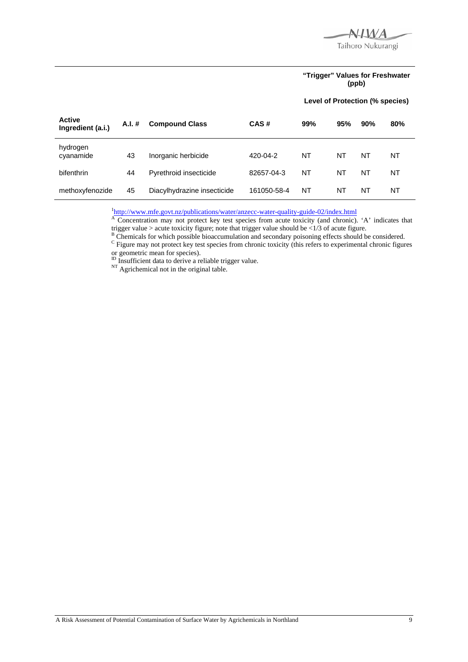

#### **"Trigger" Values for Freshwater (ppb)**

#### **Level of Protection (% species)**

| <b>Active</b><br>Ingredient (a.i.) | A.I. # | <b>Compound Class</b>       | CAS#        | 99% | 95% | 90% | 80% |
|------------------------------------|--------|-----------------------------|-------------|-----|-----|-----|-----|
| hydrogen<br>cyanamide              | 43     | Inorganic herbicide         | 420-04-2    | NT  | NT  | NT  | NT  |
| <b>bifenthrin</b>                  | 44     | Pyrethroid insecticide      | 82657-04-3  | NT  | NΤ  | NT  | NT  |
| methoxyfenozide                    | 45     | Diacylhydrazine insecticide | 161050-58-4 | ΝT  | NT  | NT  | NT  |

<sup>1</sup><http://www.mfe.govt.nz/publications/water/anzecc-water-quality-guide-02/index.html><br><sup>A</sup> Concentration may not protect key test species from acute toxicity (and chronic). 'A' indicates that trigger value  $>$  acute toxicity figure; note that trigger value should be  $\lt 1/3$  of acute figure.<br>B Chamicals for which possible biogrammetries and secondary poisoning offects should be

 $\rm^B$  Chemicals for which possible bioaccumulation and secondary poisoning effects should be considered. C Figure may not protect key test species from chronic toxicity (this refers to experimental chronic figures

or geometric mean for species).

 $ID$  Insufficient data to derive a reliable trigger value.

 $N<sup>T</sup>$  Agrichemical not in the original table.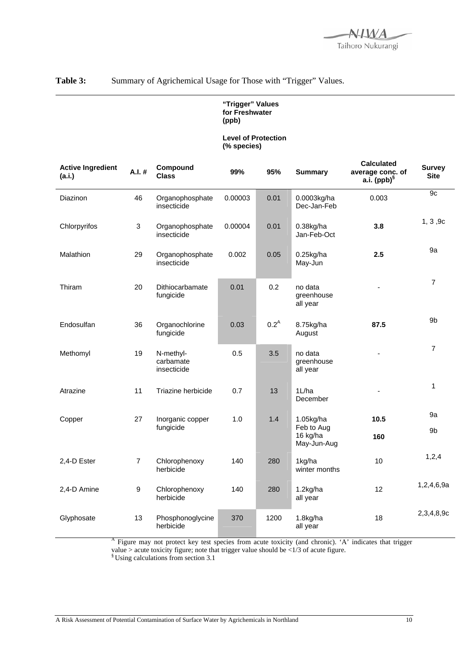

#### Table 3: Summary of Agrichemical Usage for Those with "Trigger" Values.

**"Trigger" Values for Freshwater (ppb)** 

#### **Level of Protection (% species)**

| <b>Active Ingredient</b><br>(a.i.) | A.I. #           | Compound<br><b>Class</b>              | 99%     | 95%     | <b>Summary</b>                        | <b>Calculated</b><br>average conc. of<br>a.i. $(ppb)^{8}$ | <b>Survey</b><br><b>Site</b> |
|------------------------------------|------------------|---------------------------------------|---------|---------|---------------------------------------|-----------------------------------------------------------|------------------------------|
| Diazinon                           | 46               | Organophosphate<br>insecticide        | 0.00003 | 0.01    | 0.0003kg/ha<br>Dec-Jan-Feb            | 0.003                                                     | 9c                           |
| Chlorpyrifos                       | 3                | Organophosphate<br>insecticide        | 0.00004 | 0.01    | $0.38$ kg/ha<br>Jan-Feb-Oct           | 3.8                                                       | 1, 3, 9c                     |
| Malathion                          | 29               | Organophosphate<br>insecticide        | 0.002   | 0.05    | $0.25$ kg/ha<br>May-Jun               | 2.5                                                       | 9a                           |
| Thiram                             | 20               | Dithiocarbamate<br>fungicide          | 0.01    | 0.2     | no data<br>greenhouse<br>all year     |                                                           | $\overline{7}$               |
| Endosulfan                         | 36               | Organochlorine<br>fungicide           | 0.03    | $0.2^A$ | 8.75kg/ha<br>August                   | 87.5                                                      | 9b                           |
| Methomyl                           | 19               | N-methyl-<br>carbamate<br>insecticide | 0.5     | 3.5     | no data<br>greenhouse<br>all year     | ÷,                                                        | $\overline{7}$               |
| Atrazine                           | 11               | Triazine herbicide                    | 0.7     | 13      | 1L/ha<br>December                     | ٠                                                         | $\mathbf{1}$                 |
| Copper                             | 27               | Inorganic copper                      | 1.0     | 1.4     | $1.05$ kg/ha                          | 10.5                                                      | 9a                           |
|                                    |                  | fungicide                             |         |         | Feb to Aug<br>16 kg/ha<br>May-Jun-Aug | 160                                                       | 9b                           |
| 2,4-D Ester                        | $\overline{7}$   | Chlorophenoxy<br>herbicide            | 140     | 280     | 1kg/ha<br>winter months               | 10                                                        | 1,2,4                        |
| 2,4-D Amine                        | $\boldsymbol{9}$ | Chlorophenoxy<br>herbicide            | 140     | 280     | $1.2$ kg/ha<br>all year               | 12                                                        | 1,2,4,6,9a                   |
| Glyphosate                         | 13               | Phosphonoglycine<br>herbicide         | 370     | 1200    | 1.8kg/ha<br>all year                  | 18                                                        | 2,3,4,8,9c                   |

<sup>A</sup> Figure may not protect key test species from acute toxicity (and chronic). 'A' indicates that trigger value  $>$  acute toxicity figure; note that trigger value should be <1/3 of acute figure.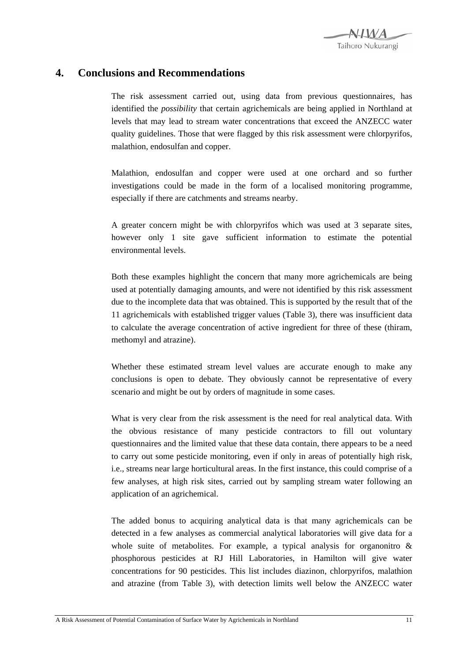

### <span id="page-15-1"></span><span id="page-15-0"></span>**4. Conclusions and Recommendations**

The risk assessment carried out, using data from previous questionnaires, has identified the *possibility* that certain agrichemicals are being applied in Northland at levels that may lead to stream water concentrations that exceed the ANZECC water quality guidelines. Those that were flagged by this risk assessment were chlorpyrifos, malathion, endosulfan and copper.

Malathion, endosulfan and copper were used at one orchard and so further investigations could be made in the form of a localised monitoring programme, especially if there are catchments and streams nearby.

A greater concern might be with chlorpyrifos which was used at 3 separate sites, however only 1 site gave sufficient information to estimate the potential environmental levels.

Both these examples highlight the concern that many more agrichemicals are being used at potentially damaging amounts, and were not identified by this risk assessment due to the incomplete data that was obtained. This is supported by the result that of the 11 agrichemicals with established trigger values (Table 3), there was insufficient data to calculate the average concentration of active ingredient for three of these (thiram, methomyl and atrazine).

Whether these estimated stream level values are accurate enough to make any conclusions is open to debate. They obviously cannot be representative of every scenario and might be out by orders of magnitude in some cases.

What is very clear from the risk assessment is the need for real analytical data. With the obvious resistance of many pesticide contractors to fill out voluntary questionnaires and the limited value that these data contain, there appears to be a need to carry out some pesticide monitoring, even if only in areas of potentially high risk, i.e., streams near large horticultural areas. In the first instance, this could comprise of a few analyses, at high risk sites, carried out by sampling stream water following an application of an agrichemical.

The added bonus to acquiring analytical data is that many agrichemicals can be detected in a few analyses as commercial analytical laboratories will give data for a whole suite of metabolites. For example, a typical analysis for organonitro  $\&$ phosphorous pesticides at RJ Hill Laboratories, in Hamilton will give water concentrations for 90 pesticides. This list includes diazinon, chlorpyrifos, malathion and atrazine (from Table 3), with detection limits well below the ANZECC water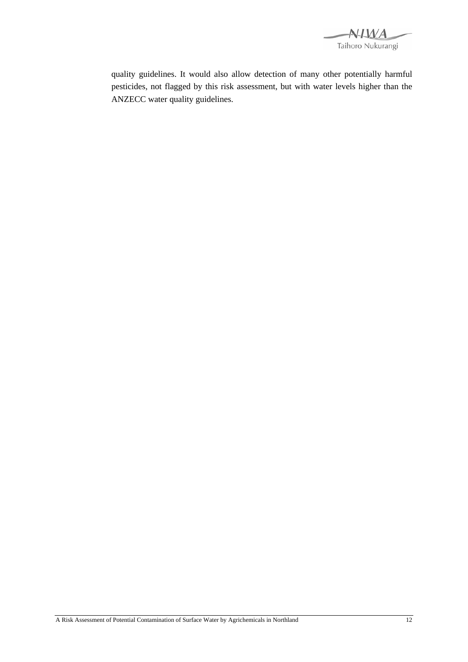

quality guidelines. It would also allow detection of many other potentially harmful pesticides, not flagged by this risk assessment, but with water levels higher than the ANZECC water quality guidelines.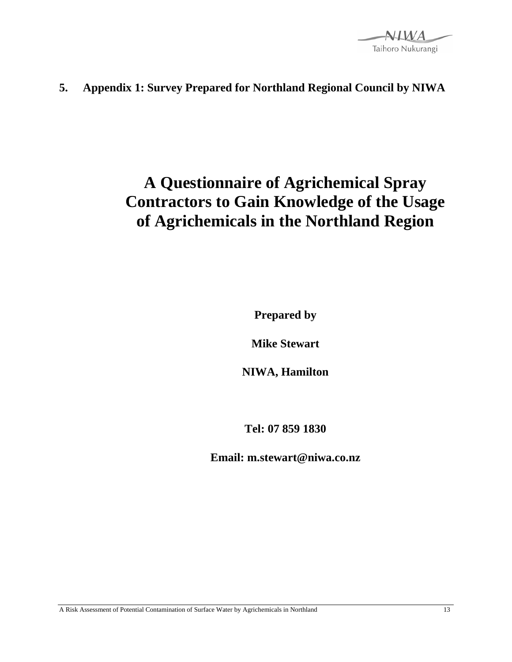## <span id="page-17-1"></span><span id="page-17-0"></span>**5. Appendix 1: Survey Prepared for Northland Regional Council by NIWA**

## **A Questionnaire of Agrichemical Spray Contractors to Gain Knowledge of the Usage of Agrichemicals in the Northland Region**

**Prepared by** 

**Mike Stewart** 

**NIWA, Hamilton** 

**Tel: 07 859 1830** 

**Email: m.stewart@niwa.co.nz**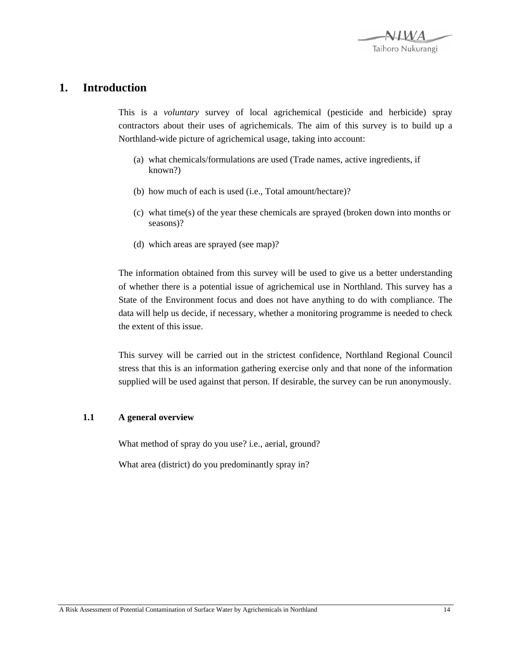### **1. Introduction**

This is a *voluntary* survey of local agrichemical (pesticide and herbicide) spray contractors about their uses of agrichemicals. The aim of this survey is to build up a Northland-wide picture of agrichemical usage, taking into account:

- (a) what chemicals/formulations are used (Trade names, active ingredients, if known?)
- (b) how much of each is used (i.e., Total amount/hectare)?
- (c) what time(s) of the year these chemicals are sprayed (broken down into months or seasons)?
- (d) which areas are sprayed (see map)?

The information obtained from this survey will be used to give us a better understanding of whether there is a potential issue of agrichemical use in Northland. This survey has a State of the Environment focus and does not have anything to do with compliance. The data will help us decide, if necessary, whether a monitoring programme is needed to check the extent of this issue.

This survey will be carried out in the strictest confidence, Northland Regional Council stress that this is an information gathering exercise only and that none of the information supplied will be used against that person. If desirable, the survey can be run anonymously.

#### **1.1 A general overview**

What method of spray do you use? i.e., aerial, ground?

What area (district) do you predominantly spray in?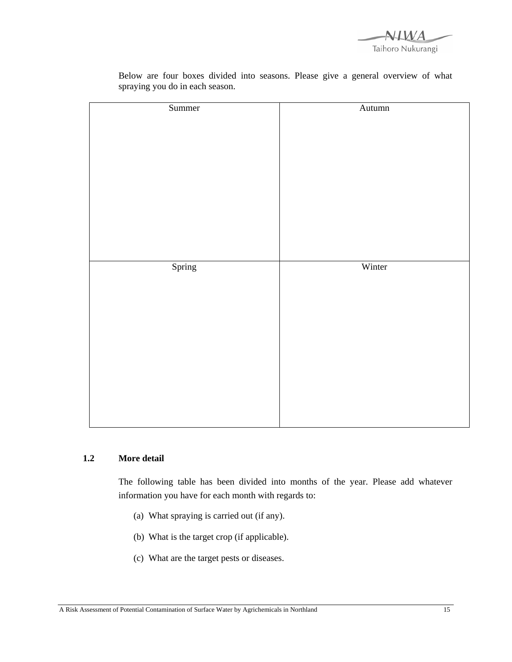

| Summer | $\begin{array}{c} {\rm{Autumn}} \end{array}$ |
|--------|----------------------------------------------|
|        |                                              |
|        |                                              |
|        |                                              |
|        |                                              |
|        |                                              |
|        |                                              |
|        |                                              |
|        |                                              |
|        |                                              |
|        |                                              |
|        |                                              |
|        |                                              |
|        |                                              |
|        |                                              |
|        |                                              |
|        |                                              |
|        |                                              |
|        |                                              |
|        |                                              |
|        |                                              |
|        |                                              |
|        |                                              |
|        |                                              |
|        |                                              |
| Spring | Winter                                       |
|        |                                              |
|        |                                              |
|        |                                              |
|        |                                              |
|        |                                              |
|        |                                              |
|        |                                              |
|        |                                              |
|        |                                              |
|        |                                              |
|        |                                              |
|        |                                              |
|        |                                              |
|        |                                              |
|        |                                              |
|        |                                              |
|        |                                              |
|        |                                              |
|        |                                              |
|        |                                              |
|        |                                              |

Below are four boxes divided into seasons. Please give a general overview of what spraying you do in each season.

#### **1.2 More detail**

The following table has been divided into months of the year. Please add whatever information you have for each month with regards to:

- (a) What spraying is carried out (if any).
- (b) What is the target crop (if applicable).
- (c) What are the target pests or diseases.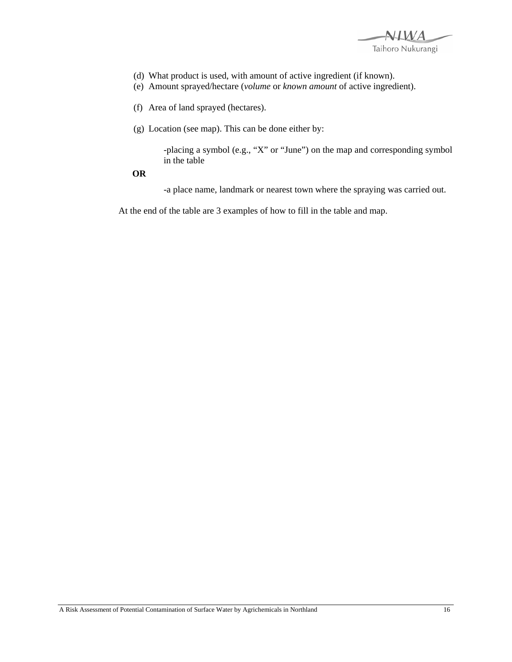- (d) What product is used, with amount of active ingredient (if known).
- (e) Amount sprayed/hectare (*volume* or *known amount* of active ingredient).
- (f) Area of land sprayed (hectares).
- (g) Location (see map). This can be done either by:

-placing a symbol (e.g., "X" or "June") on the map and corresponding symbol in the table

#### **OR**

-a place name, landmark or nearest town where the spraying was carried out.

At the end of the table are 3 examples of how to fill in the table and map.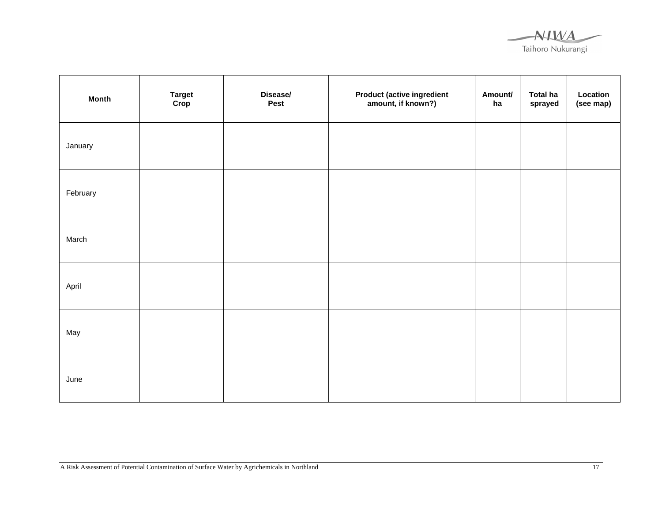

| <b>Month</b> | <b>Target</b><br>Crop | Disease/<br>Pest | <b>Product (active ingredient</b><br>amount, if known?) | Amount/<br>ha | <b>Total ha</b><br>sprayed | Location<br>(see map) |
|--------------|-----------------------|------------------|---------------------------------------------------------|---------------|----------------------------|-----------------------|
| January      |                       |                  |                                                         |               |                            |                       |
| February     |                       |                  |                                                         |               |                            |                       |
| March        |                       |                  |                                                         |               |                            |                       |
| April        |                       |                  |                                                         |               |                            |                       |
| May          |                       |                  |                                                         |               |                            |                       |
| June         |                       |                  |                                                         |               |                            |                       |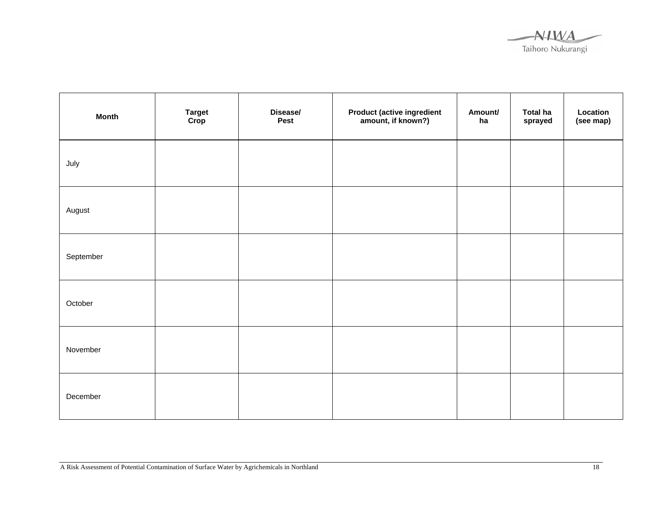

| <b>Month</b> | Target<br>Crop | Disease/<br>Pest | Product (active ingredient<br>amount, if known?) | Amount/<br>ha | <b>Total ha</b><br>sprayed | Location<br>(see map) |
|--------------|----------------|------------------|--------------------------------------------------|---------------|----------------------------|-----------------------|
| July         |                |                  |                                                  |               |                            |                       |
| August       |                |                  |                                                  |               |                            |                       |
| September    |                |                  |                                                  |               |                            |                       |
| October      |                |                  |                                                  |               |                            |                       |
| November     |                |                  |                                                  |               |                            |                       |
| December     |                |                  |                                                  |               |                            |                       |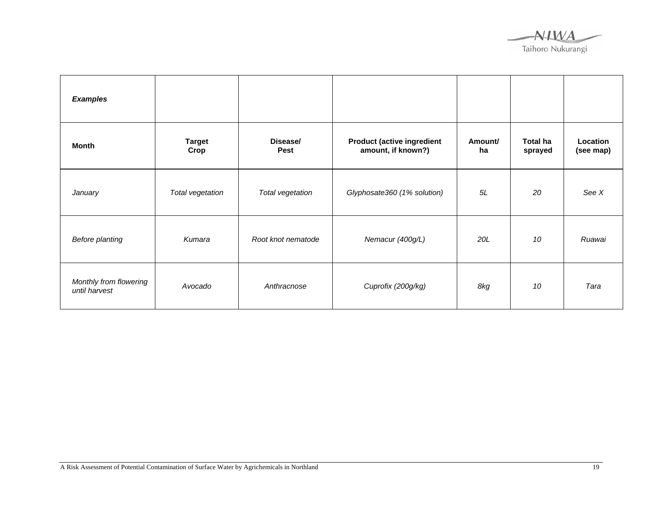

| <b>Examples</b>                         |                       |                    |                                                         |               |                     |                       |
|-----------------------------------------|-----------------------|--------------------|---------------------------------------------------------|---------------|---------------------|-----------------------|
| Month                                   | <b>Target</b><br>Crop | Disease/<br>Pest   | <b>Product (active ingredient</b><br>amount, if known?) | Amount/<br>ha | Total ha<br>sprayed | Location<br>(see map) |
| January                                 | Total vegetation      | Total vegetation   | Glyphosate360 (1% solution)                             | 5L            | 20                  | See X                 |
| <b>Before planting</b>                  | Kumara                | Root knot nematode | Nemacur (400g/L)                                        | 20L           | 10                  | Ruawai                |
| Monthly from flowering<br>until harvest | Avocado               | Anthracnose        | Cuprofix (200g/kg)                                      | 8kg           | 10                  | Tara                  |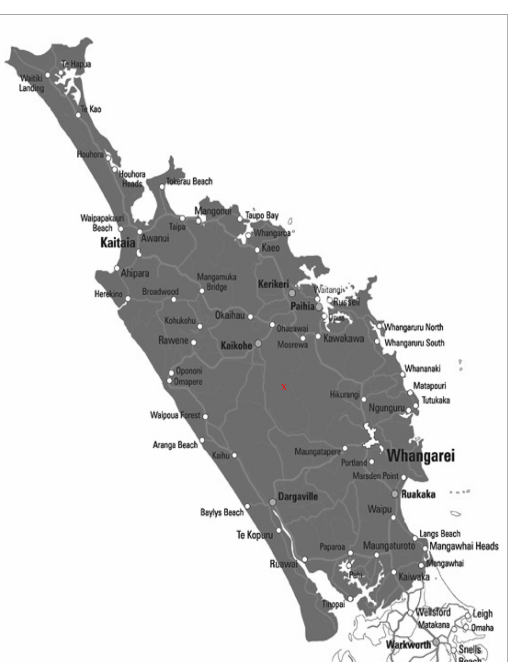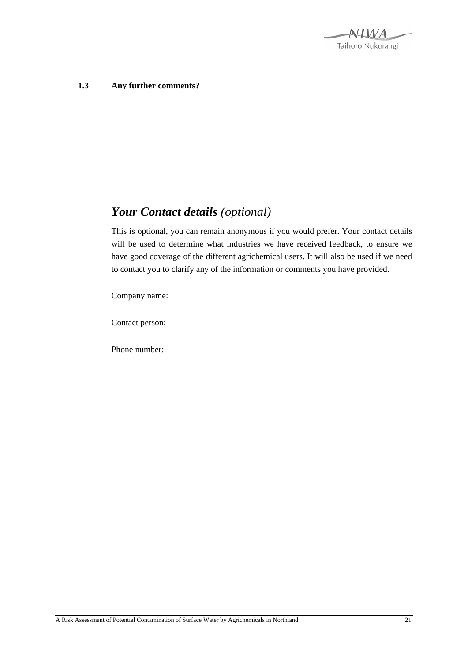

#### **1.3 Any further comments?**

## *Your Contact details (optional)*

This is optional, you can remain anonymous if you would prefer. Your contact details will be used to determine what industries we have received feedback, to ensure we have good coverage of the different agrichemical users. It will also be used if we need to contact you to clarify any of the information or comments you have provided.

Company name:

Contact person:

Phone number: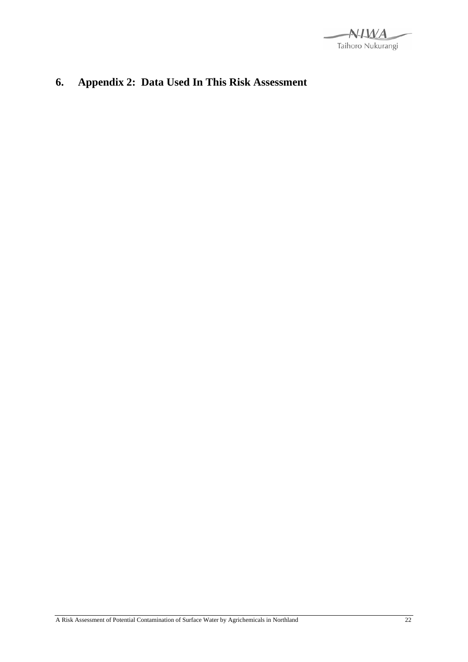$-N$ *LWA* Taihoro Nukurangi

<span id="page-26-1"></span><span id="page-26-0"></span>**6. Appendix 2: Data Used In This Risk Assessment**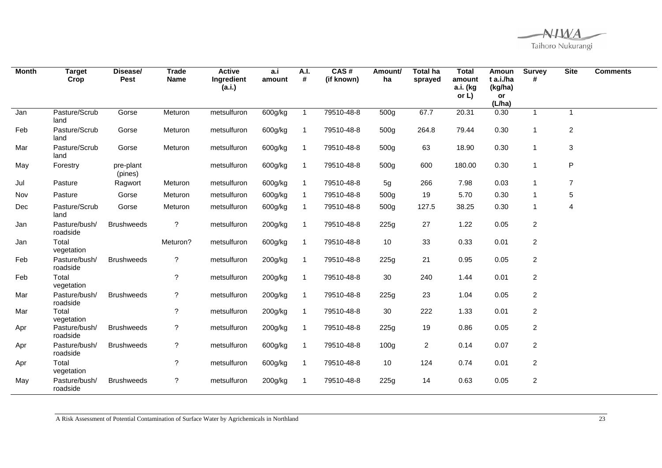| <b>Month</b> | <b>Target</b><br>Crop     | Disease/<br>Pest     | <b>Trade</b><br><b>Name</b> | <b>Active</b><br>Ingredient<br>(a.i.) | a.i<br>amount | A.I.<br>#    | CAS#<br>(if known) | Amount/<br>ha    | <b>Total ha</b><br>sprayed | <b>Total</b><br>amount<br>a.i. (kg<br>or $L$ ) | Amoun<br>t a.i./ha<br>(kg/ha)<br>or<br>(L/ha) | <b>Survey</b><br># | <b>Site</b>    | <b>Comments</b> |
|--------------|---------------------------|----------------------|-----------------------------|---------------------------------------|---------------|--------------|--------------------|------------------|----------------------------|------------------------------------------------|-----------------------------------------------|--------------------|----------------|-----------------|
| Jan          | Pasture/Scrub<br>land     | Gorse                | Meturon                     | metsulfuron                           | 600g/kg       | $\mathbf{1}$ | 79510-48-8         | 500g             | 67.7                       | 20.31                                          | 0.30                                          | $\mathbf{1}$       | 1              |                 |
| Feb          | Pasture/Scrub<br>land     | Gorse                | Meturon                     | metsulfuron                           | 600g/kg       | $\mathbf{1}$ | 79510-48-8         | 500g             | 264.8                      | 79.44                                          | 0.30                                          | $\mathbf{1}$       | $\overline{c}$ |                 |
| Mar          | Pasture/Scrub<br>land     | Gorse                | Meturon                     | metsulfuron                           | 600g/kg       | $\mathbf{1}$ | 79510-48-8         | 500g             | 63                         | 18.90                                          | 0.30                                          | $\overline{1}$     | 3              |                 |
| May          | Forestry                  | pre-plant<br>(pines) |                             | metsulfuron                           | 600g/kg       | $\mathbf{1}$ | 79510-48-8         | 500g             | 600                        | 180.00                                         | 0.30                                          | $\mathbf{1}$       | $\mathsf P$    |                 |
| Jul          | Pasture                   | Ragwort              | Meturon                     | metsulfuron                           | 600g/kg       | $\mathbf{1}$ | 79510-48-8         | 5g               | 266                        | 7.98                                           | 0.03                                          | 1                  | $\overline{7}$ |                 |
| Nov          | Pasture                   | Gorse                | Meturon                     | metsulfuron                           | 600g/kg       | $\mathbf{1}$ | 79510-48-8         | 500g             | 19                         | 5.70                                           | 0.30                                          | $\mathbf{1}$       | 5              |                 |
| Dec          | Pasture/Scrub<br>land     | Gorse                | Meturon                     | metsulfuron                           | 600g/kg       | $\mathbf{1}$ | 79510-48-8         | 500g             | 127.5                      | 38.25                                          | 0.30                                          | $\mathbf{1}$       | 4              |                 |
| Jan          | Pasture/bush/<br>roadside | <b>Brushweeds</b>    | $\tilde{?}$                 | metsulfuron                           | 200g/kg       | $\mathbf{1}$ | 79510-48-8         | 225g             | 27                         | 1.22                                           | 0.05                                          | $\overline{c}$     |                |                 |
| Jan          | Total<br>vegetation       |                      | Meturon?                    | metsulfuron                           | 600g/kg       | $\mathbf{1}$ | 79510-48-8         | 10               | 33                         | 0.33                                           | 0.01                                          | $\overline{2}$     |                |                 |
| Feb          | Pasture/bush/<br>roadside | <b>Brushweeds</b>    | $\overline{\mathcal{C}}$    | metsulfuron                           | 200g/kg       | $\mathbf{1}$ | 79510-48-8         | 225g             | 21                         | 0.95                                           | 0.05                                          | $\overline{c}$     |                |                 |
| Feb          | Total<br>vegetation       |                      | $\ddot{?}$                  | metsulfuron                           | 200g/kg       | $\mathbf{1}$ | 79510-48-8         | 30               | 240                        | 1.44                                           | 0.01                                          | $\overline{2}$     |                |                 |
| Mar          | Pasture/bush/<br>roadside | <b>Brushweeds</b>    | $\ddot{?}$                  | metsulfuron                           | 200g/kg       | $\mathbf{1}$ | 79510-48-8         | 225g             | 23                         | 1.04                                           | 0.05                                          | $\overline{2}$     |                |                 |
| Mar          | Total<br>vegetation       |                      | $\overline{?}$              | metsulfuron                           | 200g/kg       | $\mathbf{1}$ | 79510-48-8         | 30               | 222                        | 1.33                                           | 0.01                                          | $\overline{c}$     |                |                 |
| Apr          | Pasture/bush/<br>roadside | <b>Brushweeds</b>    | $\ddot{\phantom{0}}$        | metsulfuron                           | 200g/kg       | $\mathbf{1}$ | 79510-48-8         | 225g             | 19                         | 0.86                                           | 0.05                                          | $\overline{a}$     |                |                 |
| Apr          | Pasture/bush/<br>roadside | <b>Brushweeds</b>    | $\ddot{\phantom{0}}$        | metsulfuron                           | 600g/kg       | $\mathbf{1}$ | 79510-48-8         | 100 <sub>g</sub> | $\overline{2}$             | 0.14                                           | 0.07                                          | $\overline{c}$     |                |                 |
| Apr          | Total<br>vegetation       |                      | $\ddot{?}$                  | metsulfuron                           | 600g/kg       | $\mathbf{1}$ | 79510-48-8         | 10               | 124                        | 0.74                                           | 0.01                                          | $\overline{c}$     |                |                 |
| May          | Pasture/bush/<br>roadside | <b>Brushweeds</b>    | $\tilde{?}$                 | metsulfuron                           | 200g/kg       | $\mathbf{1}$ | 79510-48-8         | 225g             | 14                         | 0.63                                           | 0.05                                          | $\overline{2}$     |                |                 |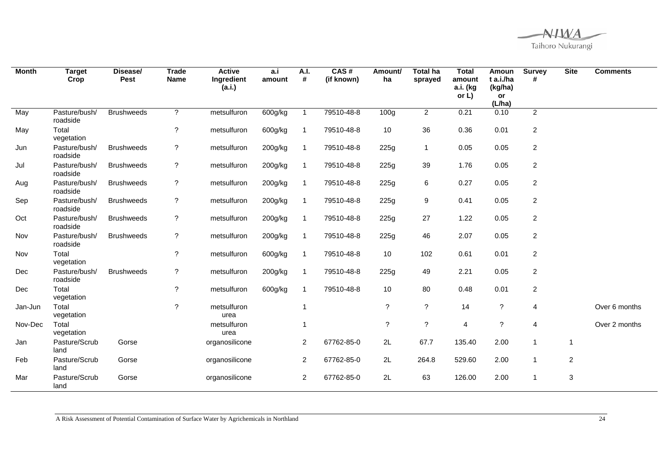| <b>Month</b> | <b>Target</b><br>Crop     | Disease/<br>Pest  | <b>Trade</b><br><b>Name</b> | <b>Active</b><br>Ingredient<br>(a.i.) | a.i<br>amount | A.I.<br>#      | CAS#<br>(if known) | Amount/<br>ha    | <b>Total ha</b><br>sprayed | <b>Total</b><br>amount<br>a.i. (kg<br>or $L$ ) | Amoun<br>t a.i./ha<br>(kg/ha)<br>or<br>(L/ha) | <b>Survey</b><br># | <b>Site</b>    | <b>Comments</b> |
|--------------|---------------------------|-------------------|-----------------------------|---------------------------------------|---------------|----------------|--------------------|------------------|----------------------------|------------------------------------------------|-----------------------------------------------|--------------------|----------------|-----------------|
| May          | Pasture/bush/<br>roadside | <b>Brushweeds</b> | $\overline{?}$              | metsulfuron                           | 600g/kg       | $\mathbf{1}$   | 79510-48-8         | 100 <sub>g</sub> | $\overline{2}$             | 0.21                                           | 0.10                                          | $\overline{2}$     |                |                 |
| May          | Total<br>vegetation       |                   | $\tilde{?}$                 | metsulfuron                           | 600g/kg       | $\mathbf{1}$   | 79510-48-8         | $10$             | 36                         | 0.36                                           | 0.01                                          | $\boldsymbol{2}$   |                |                 |
| Jun          | Pasture/bush/<br>roadside | <b>Brushweeds</b> | $\ddot{?}$                  | metsulfuron                           | 200g/kg       | $\mathbf{1}$   | 79510-48-8         | 225g             | $\mathbf{1}$               | 0.05                                           | 0.05                                          | $\overline{c}$     |                |                 |
| Jul          | Pasture/bush/<br>roadside | <b>Brushweeds</b> | $\overline{?}$              | metsulfuron                           | 200g/kg       | $\mathbf{1}$   | 79510-48-8         | 225g             | 39                         | 1.76                                           | 0.05                                          | $\overline{2}$     |                |                 |
| Aug          | Pasture/bush/<br>roadside | <b>Brushweeds</b> | $\overline{?}$              | metsulfuron                           | 200g/kg       | $\mathbf{1}$   | 79510-48-8         | 225g             | 6                          | 0.27                                           | 0.05                                          | $\overline{2}$     |                |                 |
| Sep          | Pasture/bush/<br>roadside | <b>Brushweeds</b> | $\overline{?}$              | metsulfuron                           | 200g/kg       | $\mathbf{1}$   | 79510-48-8         | 225g             | $\boldsymbol{9}$           | 0.41                                           | 0.05                                          | $\overline{2}$     |                |                 |
| Oct          | Pasture/bush/<br>roadside | <b>Brushweeds</b> | $\overline{?}$              | metsulfuron                           | 200g/kg       | $\mathbf{1}$   | 79510-48-8         | 225g             | 27                         | 1.22                                           | 0.05                                          | $\overline{2}$     |                |                 |
| Nov          | Pasture/bush/<br>roadside | <b>Brushweeds</b> | $\overline{?}$              | metsulfuron                           | 200g/kg       | $\mathbf{1}$   | 79510-48-8         | 225g             | 46                         | 2.07                                           | 0.05                                          | $\overline{c}$     |                |                 |
| Nov          | Total<br>vegetation       |                   | $\tilde{?}$                 | metsulfuron                           | 600g/kg       | $\mathbf{1}$   | 79510-48-8         | 10               | 102                        | 0.61                                           | 0.01                                          | $\overline{c}$     |                |                 |
| Dec          | Pasture/bush/<br>roadside | <b>Brushweeds</b> | $\tilde{?}$                 | metsulfuron                           | 200g/kg       | $\mathbf{1}$   | 79510-48-8         | 225g             | 49                         | 2.21                                           | 0.05                                          | $\overline{c}$     |                |                 |
| Dec          | Total<br>vegetation       |                   | $\overline{?}$              | metsulfuron                           | 600g/kg       | $\mathbf{1}$   | 79510-48-8         | 10               | 80                         | 0.48                                           | 0.01                                          | $\overline{c}$     |                |                 |
| Jan-Jun      | Total<br>vegetation       |                   | $\ddot{?}$                  | metsulfuron<br>urea                   |               | $\overline{1}$ |                    | $\tilde{?}$      | $\overline{\mathcal{E}}$   | 14                                             | $\tilde{?}$                                   | $\overline{4}$     |                | Over 6 months   |
| Nov-Dec      | Total<br>vegetation       |                   |                             | metsulfuron<br>urea                   |               | $\overline{1}$ |                    | $\tilde{?}$      | $\overline{\phantom{a}}$   | $\overline{4}$                                 | $\overline{\mathcal{C}}$                      | 4                  |                | Over 2 months   |
| Jan          | Pasture/Scrub<br>land     | Gorse             |                             | organosilicone                        |               | $\overline{2}$ | 67762-85-0         | 2L               | 67.7                       | 135.40                                         | 2.00                                          | $\mathbf{1}$       | $\mathbf{1}$   |                 |
| Feb          | Pasture/Scrub<br>land     | Gorse             |                             | organosilicone                        |               | $\overline{2}$ | 67762-85-0         | 2L               | 264.8                      | 529.60                                         | 2.00                                          | $\mathbf{1}$       | $\overline{2}$ |                 |
| Mar          | Pasture/Scrub<br>land     | Gorse             |                             | organosilicone                        |               | $\overline{2}$ | 67762-85-0         | 2L               | 63                         | 126.00                                         | 2.00                                          | $\mathbf{1}$       | 3              |                 |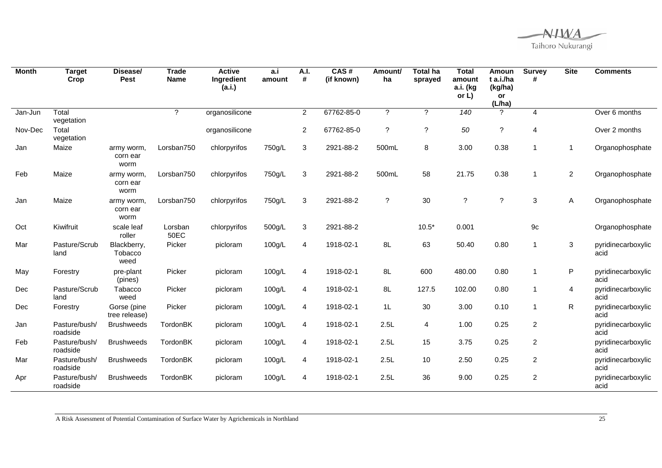| <b>Month</b> | <b>Target</b><br>Crop     | Disease/<br>Pest               | <b>Trade</b><br>Name        | <b>Active</b><br>Ingredient<br>(a.i.) | a.i<br>amount | A.I.<br>#      | CAS#<br>(if known) | Amount/<br>ha      | <b>Total ha</b><br>sprayed | <b>Total</b><br>amount<br>a.i. (kg<br>or $L$ ) | Amoun<br>t a.i./ha<br>(kg/ha)<br>or<br>(L/ha) | <b>Survey</b><br>#      | <b>Site</b>    | <b>Comments</b>            |
|--------------|---------------------------|--------------------------------|-----------------------------|---------------------------------------|---------------|----------------|--------------------|--------------------|----------------------------|------------------------------------------------|-----------------------------------------------|-------------------------|----------------|----------------------------|
| Jan-Jun      | Total<br>vegetation       |                                | $\overline{\phantom{a}}$    | organosilicone                        |               | $\overline{2}$ | 67762-85-0         | $\overline{\cdot}$ | $\overline{?}$             | 140                                            | $\gamma$                                      | $\overline{4}$          |                | Over 6 months              |
| Nov-Dec      | Total<br>vegetation       |                                |                             | organosilicone                        |               | $\overline{2}$ | 67762-85-0         | $\overline{?}$     | $\tilde{?}$                | 50                                             | $\overline{\cdot}$                            | $\overline{4}$          |                | Over 2 months              |
| Jan          | Maize                     | army worm,<br>corn ear<br>worm | Lorsban750                  | chlorpyrifos                          | 750g/L        | 3              | 2921-88-2          | 500mL              | 8                          | 3.00                                           | 0.38                                          | $\overline{\mathbf{1}}$ | $\overline{1}$ | Organophosphate            |
| Feb          | Maize                     | army worm,<br>corn ear<br>worm | Lorsban750                  | chlorpyrifos                          | 750g/L        | 3              | 2921-88-2          | 500mL              | 58                         | 21.75                                          | 0.38                                          | $\overline{\mathbf{1}}$ | $\overline{2}$ | Organophosphate            |
| Jan          | Maize                     | army worm,<br>corn ear<br>worm | Lorsban750                  | chlorpyrifos                          | 750g/L        | 3              | 2921-88-2          | $\gamma$           | 30                         | $\overline{?}$                                 | $\overline{?}$                                | 3                       | $\mathsf{A}$   | Organophosphate            |
| Oct          | Kiwifruit                 | scale leaf<br>roller           | Lorsban<br>50 <sub>EC</sub> | chlorpyrifos                          | 500g/L        | 3              | 2921-88-2          |                    | $10.5*$                    | 0.001                                          |                                               | 9c                      |                | Organophosphate            |
| Mar          | Pasture/Scrub<br>land     | Blackberry,<br>Tobacco<br>weed | Picker                      | picloram                              | 100g/L        | $\overline{4}$ | 1918-02-1          | 8L                 | 63                         | 50.40                                          | 0.80                                          | $\overline{1}$          | 3              | pyridinecarboxylic<br>acid |
| May          | Forestry                  | pre-plant<br>(pines)           | Picker                      | picloram                              | 100g/L        | $\overline{4}$ | 1918-02-1          | 8L                 | 600                        | 480.00                                         | 0.80                                          | -1                      | $\mathsf P$    | pyridinecarboxylic<br>acid |
| Dec          | Pasture/Scrub<br>land     | Tabacco<br>weed                | Picker                      | picloram                              | 100g/L        | $\overline{4}$ | 1918-02-1          | 8L                 | 127.5                      | 102.00                                         | 0.80                                          | $\overline{1}$          | 4              | pyridinecarboxylic<br>acid |
| Dec          | Forestry                  | Gorse (pine<br>tree release)   | Picker                      | picloram                              | 100g/L        | $\overline{4}$ | 1918-02-1          | 1L                 | 30                         | 3.00                                           | 0.10                                          | -1                      | $\mathsf{R}$   | pyridinecarboxylic<br>acid |
| Jan          | Pasture/bush/<br>roadside | <b>Brushweeds</b>              | TordonBK                    | picloram                              | 100g/L        | 4              | 1918-02-1          | 2.5L               | 4                          | 1.00                                           | 0.25                                          | $\overline{\mathbf{c}}$ |                | pyridinecarboxylic<br>acid |
| Feb          | Pasture/bush/<br>roadside | <b>Brushweeds</b>              | TordonBK                    | picloram                              | 100g/L        | $\overline{4}$ | 1918-02-1          | 2.5L               | 15                         | 3.75                                           | 0.25                                          | $\overline{\mathbf{c}}$ |                | pyridinecarboxylic<br>acid |
| Mar          | Pasture/bush/<br>roadside | <b>Brushweeds</b>              | TordonBK                    | picloram                              | 100g/L        | 4              | 1918-02-1          | 2.5L               | 10                         | 2.50                                           | 0.25                                          | $\overline{\mathbf{c}}$ |                | pyridinecarboxylic<br>acid |
| Apr          | Pasture/bush/<br>roadside | <b>Brushweeds</b>              | TordonBK                    | picloram                              | 100g/L        | 4              | 1918-02-1          | 2.5L               | 36                         | 9.00                                           | 0.25                                          | $\overline{c}$          |                | pyridinecarboxylic<br>acid |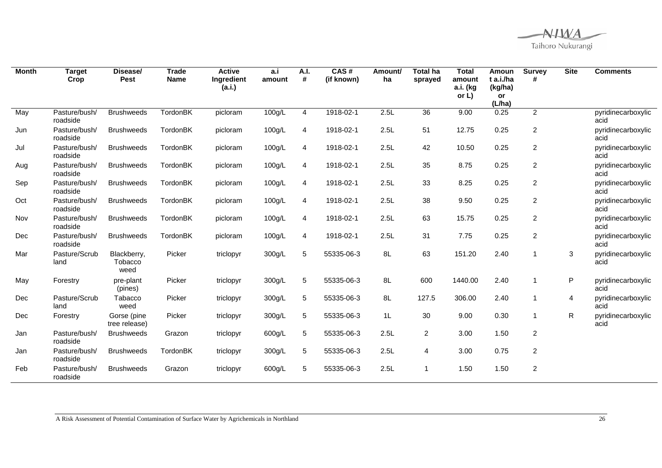| <b>Month</b> | <b>Target</b><br>Crop     | Disease/<br><b>Pest</b>        | <b>Trade</b><br><b>Name</b> | <b>Active</b><br>Ingredient<br>(a.i.) | a.i<br>amount | A.I.<br>$\pmb{\#}$ | CAS#<br>(if known) | Amount/<br>ha | <b>Total ha</b><br>sprayed | <b>Total</b><br>amount<br>a.i. (kg<br>or $L$ ) | Amoun<br>t a.i./ha<br>(kg/ha)<br>or<br>(L/ha) | <b>Survey</b><br>#      | <b>Site</b>    | <b>Comments</b>            |
|--------------|---------------------------|--------------------------------|-----------------------------|---------------------------------------|---------------|--------------------|--------------------|---------------|----------------------------|------------------------------------------------|-----------------------------------------------|-------------------------|----------------|----------------------------|
| May          | Pasture/bush/<br>roadside | <b>Brushweeds</b>              | <b>TordonBK</b>             | picloram                              | 100g/L        | $\overline{4}$     | 1918-02-1          | 2.5L          | 36                         | 9.00                                           | 0.25                                          | 2                       |                | pyridinecarboxylic<br>acid |
| Jun          | Pasture/bush/<br>roadside | <b>Brushweeds</b>              | <b>TordonBK</b>             | picloram                              | 100g/L        | 4                  | 1918-02-1          | 2.5L          | 51                         | 12.75                                          | 0.25                                          | $\overline{c}$          |                | pyridinecarboxylic<br>acid |
| Jul          | Pasture/bush/<br>roadside | <b>Brushweeds</b>              | TordonBK                    | picloram                              | 100g/L        | $\overline{4}$     | 1918-02-1          | 2.5L          | 42                         | 10.50                                          | 0.25                                          | $\overline{c}$          |                | pyridinecarboxylic<br>acid |
| Aug          | Pasture/bush/<br>roadside | <b>Brushweeds</b>              | <b>TordonBK</b>             | picloram                              | 100g/L        | 4                  | 1918-02-1          | 2.5L          | 35                         | 8.75                                           | 0.25                                          | $\overline{c}$          |                | pyridinecarboxylic<br>acid |
| Sep          | Pasture/bush/<br>roadside | <b>Brushweeds</b>              | TordonBK                    | picloram                              | 100g/L        | 4                  | 1918-02-1          | 2.5L          | 33                         | 8.25                                           | 0.25                                          | $\overline{\mathbf{c}}$ |                | pyridinecarboxylic<br>acid |
| Oct          | Pasture/bush/<br>roadside | <b>Brushweeds</b>              | TordonBK                    | picloram                              | 100g/L        | 4                  | 1918-02-1          | 2.5L          | 38                         | 9.50                                           | 0.25                                          | $\overline{c}$          |                | pyridinecarboxylic<br>acid |
| Nov          | Pasture/bush/<br>roadside | <b>Brushweeds</b>              | TordonBK                    | picloram                              | 100g/L        | 4                  | 1918-02-1          | 2.5L          | 63                         | 15.75                                          | 0.25                                          | $\boldsymbol{2}$        |                | pyridinecarboxylic<br>acid |
| Dec          | Pasture/bush/<br>roadside | <b>Brushweeds</b>              | <b>TordonBK</b>             | picloram                              | 100g/L        | 4                  | 1918-02-1          | 2.5L          | 31                         | 7.75                                           | 0.25                                          | $\overline{c}$          |                | pyridinecarboxylic<br>acid |
| Mar          | Pasture/Scrub<br>land     | Blackberry,<br>Tobacco<br>weed | Picker                      | triclopyr                             | 300g/L        | 5                  | 55335-06-3         | 8L            | 63                         | 151.20                                         | 2.40                                          | -1                      | $\mathbf{3}$   | pyridinecarboxylic<br>acid |
| May          | Forestry                  | pre-plant<br>(pines)           | Picker                      | triclopyr                             | 300g/L        | 5                  | 55335-06-3         | 8L            | 600                        | 1440.00                                        | 2.40                                          | -1                      | P              | pyridinecarboxylic<br>acid |
| Dec          | Pasture/Scrub<br>land     | Tabacco<br>weed                | Picker                      | triclopyr                             | 300g/L        | 5                  | 55335-06-3         | 8L            | 127.5                      | 306.00                                         | 2.40                                          | $\overline{1}$          | $\overline{4}$ | pyridinecarboxylic<br>acid |
| Dec          | Forestry                  | Gorse (pine<br>tree release)   | Picker                      | triclopyr                             | 300g/L        | 5                  | 55335-06-3         | 1L            | 30                         | 9.00                                           | 0.30                                          | $\overline{1}$          | R              | pyridinecarboxylic<br>acid |
| Jan          | Pasture/bush/<br>roadside | <b>Brushweeds</b>              | Grazon                      | triclopyr                             | 600g/L        | 5                  | 55335-06-3         | 2.5L          | $\overline{2}$             | 3.00                                           | 1.50                                          | $\overline{c}$          |                |                            |
| Jan          | Pasture/bush/<br>roadside | <b>Brushweeds</b>              | TordonBK                    | triclopyr                             | 300g/L        | 5                  | 55335-06-3         | 2.5L          | 4                          | 3.00                                           | 0.75                                          | $\boldsymbol{2}$        |                |                            |
| Feb          | Pasture/bush/<br>roadside | <b>Brushweeds</b>              | Grazon                      | triclopyr                             | 600g/L        | 5                  | 55335-06-3         | 2.5L          | 1                          | 1.50                                           | 1.50                                          | $\overline{c}$          |                |                            |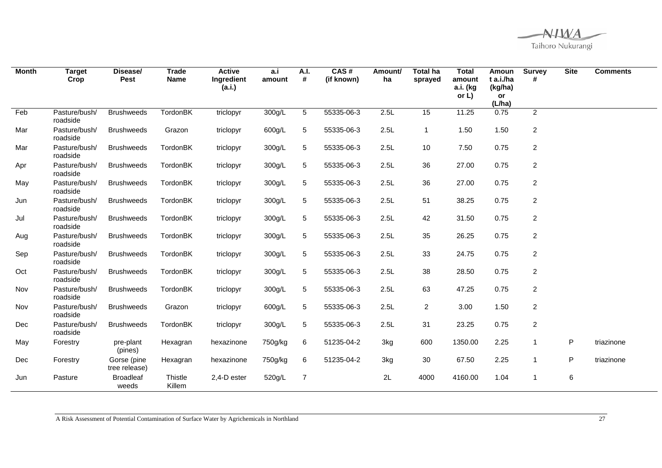| <b>Month</b> | <b>Target</b><br>Crop     | Disease/<br>Pest             | <b>Trade</b><br><b>Name</b> | <b>Active</b><br>Ingredient<br>(a.i.) | a.i<br>amount | A.I.<br>#       | CAS#<br>(if known) | Amount/<br>ha | <b>Total ha</b><br>sprayed | <b>Total</b><br>amount<br>a.i. (kg<br>or $L$ ) | Amoun<br>t a.i./ha<br>(kg/ha)<br>or<br>(L/ha) | <b>Survey</b><br># | <b>Site</b> | <b>Comments</b> |
|--------------|---------------------------|------------------------------|-----------------------------|---------------------------------------|---------------|-----------------|--------------------|---------------|----------------------------|------------------------------------------------|-----------------------------------------------|--------------------|-------------|-----------------|
| Feb          | Pasture/bush/<br>roadside | <b>Brushweeds</b>            | <b>TordonBK</b>             | triclopyr                             | 300g/L        | $5\phantom{.0}$ | 55335-06-3         | 2.5L          | $\overline{15}$            | 11.25                                          | 0.75                                          | 2                  |             |                 |
| Mar          | Pasture/bush/<br>roadside | <b>Brushweeds</b>            | Grazon                      | triclopyr                             | 600g/L        | 5               | 55335-06-3         | 2.5L          | 1                          | 1.50                                           | 1.50                                          | $\overline{2}$     |             |                 |
| Mar          | Pasture/bush/<br>roadside | <b>Brushweeds</b>            | TordonBK                    | triclopyr                             | 300g/L        | 5               | 55335-06-3         | 2.5L          | 10                         | 7.50                                           | 0.75                                          | $\overline{2}$     |             |                 |
| Apr          | Pasture/bush/<br>roadside | <b>Brushweeds</b>            | TordonBK                    | triclopyr                             | 300g/L        | 5               | 55335-06-3         | 2.5L          | 36                         | 27.00                                          | 0.75                                          | $\overline{2}$     |             |                 |
| May          | Pasture/bush/<br>roadside | <b>Brushweeds</b>            | TordonBK                    | triclopyr                             | 300g/L        | 5               | 55335-06-3         | 2.5L          | 36                         | 27.00                                          | 0.75                                          | 2                  |             |                 |
| Jun          | Pasture/bush/<br>roadside | <b>Brushweeds</b>            | TordonBK                    | triclopyr                             | 300g/L        | 5               | 55335-06-3         | 2.5L          | 51                         | 38.25                                          | 0.75                                          | $\overline{2}$     |             |                 |
| Jul          | Pasture/bush/<br>roadside | <b>Brushweeds</b>            | TordonBK                    | triclopyr                             | 300g/L        | 5               | 55335-06-3         | 2.5L          | 42                         | 31.50                                          | 0.75                                          | 2                  |             |                 |
| Aug          | Pasture/bush/<br>roadside | <b>Brushweeds</b>            | TordonBK                    | triclopyr                             | 300g/L        | 5               | 55335-06-3         | 2.5L          | 35                         | 26.25                                          | 0.75                                          | $\overline{2}$     |             |                 |
| Sep          | Pasture/bush/<br>roadside | <b>Brushweeds</b>            | TordonBK                    | triclopyr                             | 300g/L        | 5               | 55335-06-3         | 2.5L          | 33                         | 24.75                                          | 0.75                                          | 2                  |             |                 |
| Oct          | Pasture/bush/<br>roadside | <b>Brushweeds</b>            | TordonBK                    | triclopyr                             | 300g/L        | 5               | 55335-06-3         | 2.5L          | 38                         | 28.50                                          | 0.75                                          | $\overline{2}$     |             |                 |
| Nov          | Pasture/bush/<br>roadside | <b>Brushweeds</b>            | TordonBK                    | triclopyr                             | 300g/L        | 5               | 55335-06-3         | 2.5L          | 63                         | 47.25                                          | 0.75                                          | $\overline{2}$     |             |                 |
| Nov          | Pasture/bush/<br>roadside | <b>Brushweeds</b>            | Grazon                      | triclopyr                             | 600g/L        | 5               | 55335-06-3         | 2.5L          | $\overline{2}$             | 3.00                                           | 1.50                                          | $\overline{2}$     |             |                 |
| Dec          | Pasture/bush/<br>roadside | <b>Brushweeds</b>            | TordonBK                    | triclopyr                             | 300g/L        | 5               | 55335-06-3         | 2.5L          | 31                         | 23.25                                          | 0.75                                          | $\overline{2}$     |             |                 |
| May          | Forestry                  | pre-plant<br>(pines)         | Hexagran                    | hexazinone                            | 750g/kg       | 6               | 51235-04-2         | 3kg           | 600                        | 1350.00                                        | 2.25                                          | $\overline{1}$     | P           | triazinone      |
| Dec          | Forestry                  | Gorse (pine<br>tree release) | Hexagran                    | hexazinone                            | 750g/kg       | 6               | 51235-04-2         | 3kg           | 30                         | 67.50                                          | 2.25                                          | $\overline{1}$     | P           | triazinone      |
| Jun          | Pasture                   | <b>Broadleaf</b><br>weeds    | Thistle<br>Killem           | 2,4-D ester                           | 520g/L        | $\overline{7}$  |                    | 2L            | 4000                       | 4160.00                                        | 1.04                                          | $\overline{1}$     | 6           |                 |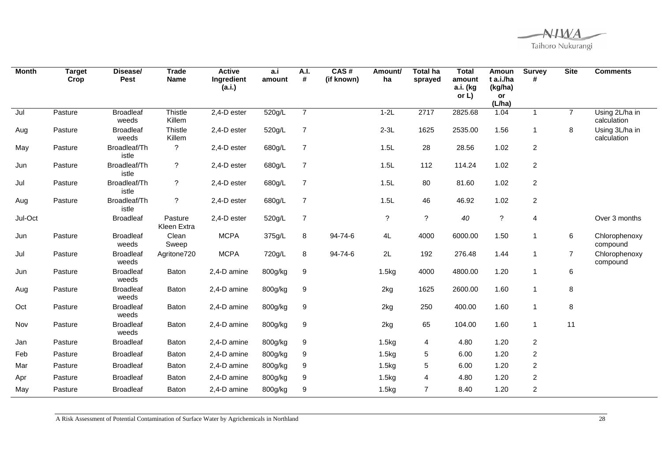| <b>Month</b> | <b>Target</b><br>Crop | Disease/<br>Pest          | <b>Trade</b><br><b>Name</b> | <b>Active</b><br>Ingredient<br>(a.i.) | a.i<br>amount | A.I.<br>$\#$     | CAS#<br>(if known) | Amount/<br>ha | <b>Total ha</b><br>sprayed | <b>Total</b><br>amount<br>a.i. (kg<br>or $L$ ) | Amoun<br>t a.i./ha<br>(kg/ha)<br>or<br>(L/ha) | <b>Survey</b><br># | <b>Site</b>    | <b>Comments</b>               |
|--------------|-----------------------|---------------------------|-----------------------------|---------------------------------------|---------------|------------------|--------------------|---------------|----------------------------|------------------------------------------------|-----------------------------------------------|--------------------|----------------|-------------------------------|
| Jul          | Pasture               | <b>Broadleaf</b><br>weeds | Thistle<br>Killem           | 2,4-D ester                           | 520g/L        | $\overline{7}$   |                    | $1-2L$        | 2717                       | 2825.68                                        | 1.04                                          | $\overline{1}$     | $\overline{7}$ | Using 2L/ha in<br>calculation |
| Aug          | Pasture               | <b>Broadleaf</b><br>weeds | Thistle<br>Killem           | 2,4-D ester                           | 520g/L        | $\overline{7}$   |                    | $2-3L$        | 1625                       | 2535.00                                        | 1.56                                          | $\overline{1}$     | 8              | Using 3L/ha in<br>calculation |
| May          | Pasture               | Broadleaf/Th<br>istle     | $\tilde{?}$                 | 2,4-D ester                           | 680g/L        | $\overline{7}$   |                    | 1.5L          | 28                         | 28.56                                          | 1.02                                          | 2                  |                |                               |
| Jun          | Pasture               | Broadleaf/Th<br>istle     | $\ddot{?}$                  | 2,4-D ester                           | 680g/L        | $\overline{7}$   |                    | 1.5L          | 112                        | 114.24                                         | 1.02                                          | $\overline{2}$     |                |                               |
| Jul          | Pasture               | Broadleaf/Th<br>istle     | $\ddot{?}$                  | 2,4-D ester                           | 680g/L        | $\overline{7}$   |                    | 1.5L          | 80                         | 81.60                                          | 1.02                                          | $\overline{2}$     |                |                               |
| Aug          | Pasture               | Broadleaf/Th<br>istle     | $\ddot{\phantom{0}}$        | 2,4-D ester                           | 680g/L        | $\overline{7}$   |                    | 1.5L          | 46                         | 46.92                                          | 1.02                                          | $\overline{2}$     |                |                               |
| Jul-Oct      |                       | <b>Broadleaf</b>          | Pasture<br>Kleen Extra      | 2,4-D ester                           | 520g/L        | $\overline{7}$   |                    | $\ddot{?}$    | $\tilde{?}$                | 40                                             | $\overline{?}$                                | $\overline{4}$     |                | Over 3 months                 |
| Jun          | Pasture               | <b>Broadleaf</b><br>weeds | Clean<br>Sweep              | <b>MCPA</b>                           | 375g/L        | 8                | 94-74-6            | 4L            | 4000                       | 6000.00                                        | 1.50                                          | $\overline{1}$     | 6              | Chlorophenoxy<br>compound     |
| Jul          | Pasture               | <b>Broadleaf</b><br>weeds | Agritone720                 | <b>MCPA</b>                           | 720g/L        | 8                | 94-74-6            | 2L            | 192                        | 276.48                                         | 1.44                                          | $\overline{1}$     | $\overline{7}$ | Chlorophenoxy<br>compound     |
| Jun          | Pasture               | <b>Broadleaf</b><br>weeds | Baton                       | 2,4-D amine                           | 800g/kg       | $\boldsymbol{9}$ |                    | 1.5kg         | 4000                       | 4800.00                                        | 1.20                                          | $\overline{1}$     | 6              |                               |
| Aug          | Pasture               | <b>Broadleaf</b><br>weeds | Baton                       | 2,4-D amine                           | 800g/kg       | $\boldsymbol{9}$ |                    | 2kg           | 1625                       | 2600.00                                        | 1.60                                          | $\overline{1}$     | 8              |                               |
| Oct          | Pasture               | <b>Broadleaf</b><br>weeds | <b>Baton</b>                | 2,4-D amine                           | 800g/kg       | 9                |                    | 2kg           | 250                        | 400.00                                         | 1.60                                          | $\overline{1}$     | 8              |                               |
| Nov          | Pasture               | <b>Broadleaf</b><br>weeds | Baton                       | 2,4-D amine                           | 800g/kg       | $\boldsymbol{9}$ |                    | 2kg           | 65                         | 104.00                                         | 1.60                                          | $\mathbf{1}$       | 11             |                               |
| Jan          | Pasture               | <b>Broadleaf</b>          | Baton                       | 2,4-D amine                           | 800g/kg       | $\boldsymbol{9}$ |                    | 1.5kg         | $\overline{\mathbf{4}}$    | 4.80                                           | 1.20                                          | $\overline{2}$     |                |                               |
| Feb          | Pasture               | <b>Broadleaf</b>          | Baton                       | 2,4-D amine                           | 800g/kg       | $\boldsymbol{9}$ |                    | 1.5kg         | 5                          | 6.00                                           | 1.20                                          | $\overline{2}$     |                |                               |
| Mar          | Pasture               | <b>Broadleaf</b>          | Baton                       | 2,4-D amine                           | 800g/kg       | 9                |                    | 1.5kg         | 5                          | 6.00                                           | 1.20                                          | $\overline{2}$     |                |                               |
| Apr          | Pasture               | <b>Broadleaf</b>          | <b>Baton</b>                | 2,4-D amine                           | 800g/kg       | 9                |                    | 1.5kg         | 4                          | 4.80                                           | 1.20                                          | $\overline{2}$     |                |                               |
| May          | Pasture               | <b>Broadleaf</b>          | Baton                       | 2,4-D amine                           | 800g/kg       | 9                |                    | 1.5kg         | $\overline{7}$             | 8.40                                           | 1.20                                          | $\overline{2}$     |                |                               |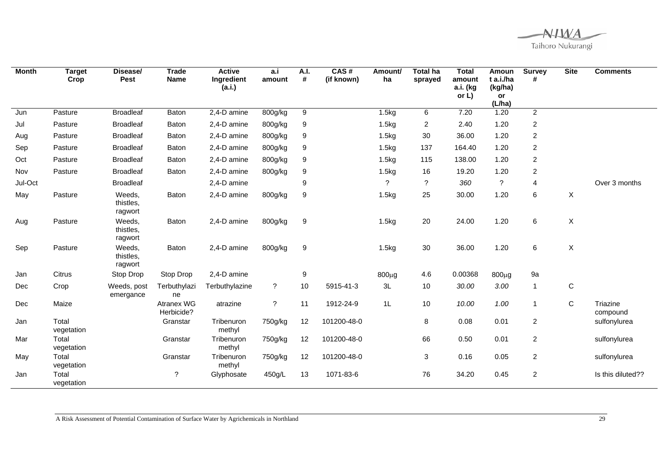

| <b>Month</b> | <b>Target</b><br>Crop | Disease/<br>Pest               | <b>Trade</b><br><b>Name</b>     | <b>Active</b><br>Ingredient<br>(a.i.) | a.i<br>amount            | A.I.<br>#        | CAS#<br>(if known) | Amount/<br>ha | <b>Total ha</b><br>sprayed | <b>Total</b><br>amount<br>a.i. (kg<br>or $L$ ) | Amoun<br>t a.i./ha<br>(kg/ha)<br>or<br>(L/ha) | <b>Survey</b><br>#      | <b>Site</b>               | <b>Comments</b>      |
|--------------|-----------------------|--------------------------------|---------------------------------|---------------------------------------|--------------------------|------------------|--------------------|---------------|----------------------------|------------------------------------------------|-----------------------------------------------|-------------------------|---------------------------|----------------------|
| Jun          | Pasture               | <b>Broadleaf</b>               | Baton                           | 2,4-D amine                           | 800g/kg                  | 9                |                    | 1.5kg         | 6                          | 7.20                                           | 1.20                                          | $\overline{2}$          |                           |                      |
| Jul          | Pasture               | <b>Broadleaf</b>               | Baton                           | 2,4-D amine                           | 800g/kg                  | $\boldsymbol{9}$ |                    | 1.5kg         | $\overline{a}$             | 2.40                                           | 1.20                                          | $\boldsymbol{2}$        |                           |                      |
| Aug          | Pasture               | <b>Broadleaf</b>               | Baton                           | 2,4-D amine                           | 800g/kg                  | 9                |                    | 1.5kg         | 30                         | 36.00                                          | 1.20                                          | $\overline{\mathbf{c}}$ |                           |                      |
| Sep          | Pasture               | <b>Broadleaf</b>               | Baton                           | 2,4-D amine                           | 800g/kg                  | 9                |                    | 1.5kg         | 137                        | 164.40                                         | 1.20                                          | $\overline{\mathbf{c}}$ |                           |                      |
| Oct          | Pasture               | <b>Broadleaf</b>               | Baton                           | 2,4-D amine                           | 800g/kg                  | $\boldsymbol{9}$ |                    | 1.5kg         | 115                        | 138.00                                         | 1.20                                          | $\overline{\mathbf{c}}$ |                           |                      |
| Nov          | Pasture               | <b>Broadleaf</b>               | Baton                           | 2,4-D amine                           | 800g/kg                  | 9                |                    | 1.5kg         | 16                         | 19.20                                          | 1.20                                          | $\overline{\mathbf{c}}$ |                           |                      |
| Jul-Oct      |                       | <b>Broadleaf</b>               |                                 | 2,4-D amine                           |                          | $\boldsymbol{9}$ |                    | ?             | $\tilde{?}$                | 360                                            | $\overline{?}$                                | 4                       |                           | Over 3 months        |
| May          | Pasture               | Weeds,<br>thistles,<br>ragwort | Baton                           | 2,4-D amine                           | 800g/kg                  | $\boldsymbol{9}$ |                    | 1.5kg         | 25                         | 30.00                                          | 1.20                                          | $\,6\,$                 | $\boldsymbol{\mathsf{X}}$ |                      |
| Aug          | Pasture               | Weeds,<br>thistles,<br>ragwort | Baton                           | 2,4-D amine                           | 800g/kg                  | 9                |                    | 1.5kg         | 20                         | 24.00                                          | 1.20                                          | 6                       | X                         |                      |
| Sep          | Pasture               | Weeds,<br>thistles,<br>ragwort | Baton                           | 2,4-D amine                           | 800g/kg                  | $\boldsymbol{9}$ |                    | 1.5kg         | 30                         | 36.00                                          | 1.20                                          | $\,6\,$                 | $\boldsymbol{\mathsf{X}}$ |                      |
| Jan          | Citrus                | Stop Drop                      | Stop Drop                       | 2,4-D amine                           |                          | 9                |                    | $800 \mu g$   | 4.6                        | 0.00368                                        | $800\mug$                                     | 9a                      |                           |                      |
| Dec          | Crop                  | Weeds, post<br>emergance       | Terbuthylazi<br>ne              | Terbuthylazine                        | $\overline{\mathcal{E}}$ | 10               | 5915-41-3          | 3L            | $10$                       | 30.00                                          | 3.00                                          | $\mathbf{1}$            | $\mathbf C$               |                      |
| Dec          | Maize                 |                                | <b>Atranex WG</b><br>Herbicide? | atrazine                              | $\tilde{?}$              | 11               | 1912-24-9          | 1L            | $10$                       | 10.00                                          | 1.00                                          | $\mathbf{1}$            | $\mathsf{C}$              | Triazine<br>compound |
| Jan          | Total<br>vegetation   |                                | Granstar                        | Tribenuron<br>methyl                  | 750g/kg                  | 12               | 101200-48-0        |               | 8                          | 0.08                                           | 0.01                                          | $\boldsymbol{2}$        |                           | sulfonylurea         |
| Mar          | Total<br>vegetation   |                                | Granstar                        | Tribenuron<br>methyl                  | 750g/kg                  | 12               | 101200-48-0        |               | 66                         | 0.50                                           | 0.01                                          | $\overline{\mathbf{c}}$ |                           | sulfonylurea         |
| May          | Total<br>vegetation   |                                | Granstar                        | Tribenuron<br>methyl                  | 750g/kg                  | 12               | 101200-48-0        |               | 3                          | 0.16                                           | 0.05                                          | $\overline{\mathbf{c}}$ |                           | sulfonylurea         |
| Jan          | Total<br>vegetation   |                                | $\tilde{?}$                     | Glyphosate                            | 450g/L                   | 13               | 1071-83-6          |               | 76                         | 34.20                                          | 0.45                                          | $\overline{c}$          |                           | Is this diluted??    |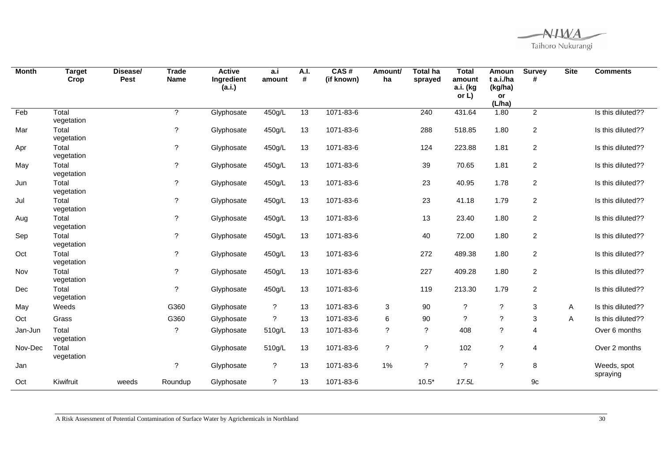| <b>Month</b> | <b>Target</b><br>Crop | Disease/<br>Pest | <b>Trade</b><br><b>Name</b> | <b>Active</b><br>Ingredient<br>(a.i.) | a.i<br>amount | A.I.<br>$\#$ | CAS#<br>(if known) | Amount/<br>ha | <b>Total ha</b><br>sprayed | <b>Total</b><br>amount<br>a.i. (kg<br>or $L$ ) | Amoun<br>t a.i./ha<br>(kg/ha)<br>or<br>(L/ha) | <b>Survey</b><br># | <b>Site</b> | <b>Comments</b>         |
|--------------|-----------------------|------------------|-----------------------------|---------------------------------------|---------------|--------------|--------------------|---------------|----------------------------|------------------------------------------------|-----------------------------------------------|--------------------|-------------|-------------------------|
| Feb          | Total<br>vegetation   |                  | $\overline{?}$              | Glyphosate                            | 450g/L        | 13           | 1071-83-6          |               | 240                        | 431.64                                         | 1.80                                          | $\overline{2}$     |             | Is this diluted??       |
| Mar          | Total<br>vegetation   |                  | $\ddot{?}$                  | Glyphosate                            | 450g/L        | 13           | 1071-83-6          |               | 288                        | 518.85                                         | 1.80                                          | $\overline{2}$     |             | Is this diluted??       |
| Apr          | Total<br>vegetation   |                  | ?                           | Glyphosate                            | 450g/L        | 13           | 1071-83-6          |               | 124                        | 223.88                                         | 1.81                                          | $\overline{2}$     |             | Is this diluted??       |
| May          | Total<br>vegetation   |                  | $\ddot{?}$                  | Glyphosate                            | 450g/L        | 13           | 1071-83-6          |               | 39                         | 70.65                                          | 1.81                                          | $\overline{2}$     |             | Is this diluted??       |
| Jun          | Total<br>vegetation   |                  | $\ddot{?}$                  | Glyphosate                            | 450g/L        | 13           | 1071-83-6          |               | 23                         | 40.95                                          | 1.78                                          | $\overline{2}$     |             | Is this diluted??       |
| Jul          | Total<br>vegetation   |                  | $\ddot{?}$                  | Glyphosate                            | 450g/L        | 13           | 1071-83-6          |               | 23                         | 41.18                                          | 1.79                                          | $\overline{2}$     |             | Is this diluted??       |
| Aug          | Total<br>vegetation   |                  | $\overline{?}$              | Glyphosate                            | 450g/L        | 13           | 1071-83-6          |               | 13                         | 23.40                                          | 1.80                                          | 2                  |             | Is this diluted??       |
| Sep          | Total<br>vegetation   |                  | $\overline{\cdot}$          | Glyphosate                            | 450g/L        | 13           | 1071-83-6          |               | 40                         | 72.00                                          | 1.80                                          | $\boldsymbol{2}$   |             | Is this diluted??       |
| Oct          | Total<br>vegetation   |                  | $\overline{\cdot}$          | Glyphosate                            | 450g/L        | 13           | 1071-83-6          |               | 272                        | 489.38                                         | 1.80                                          | $\overline{2}$     |             | Is this diluted??       |
| Nov          | Total<br>vegetation   |                  | ?                           | Glyphosate                            | 450g/L        | 13           | 1071-83-6          |               | 227                        | 409.28                                         | 1.80                                          | $\overline{2}$     |             | Is this diluted??       |
| Dec          | Total<br>vegetation   |                  | $\overline{\cdot}$          | Glyphosate                            | 450g/L        | 13           | 1071-83-6          |               | 119                        | 213.30                                         | 1.79                                          | $\overline{2}$     |             | Is this diluted??       |
| May          | Weeds                 |                  | G360                        | Glyphosate                            | $\tilde{?}$   | 13           | 1071-83-6          | 3             | 90                         | $\overline{\mathcal{E}}$                       | $\overline{?}$                                | $\mathbf{3}$       | A           | Is this diluted??       |
| Oct          | Grass                 |                  | G360                        | Glyphosate                            | $\gamma$      | 13           | 1071-83-6          | 6             | 90                         | $\overline{?}$                                 | $\gamma$                                      | $\mathbf{3}$       | A           | Is this diluted??       |
| Jan-Jun      | Total<br>vegetation   |                  | $\overline{\cdot}$          | Glyphosate                            | 510g/L        | 13           | 1071-83-6          | $\ddot{?}$    | $\tilde{?}$                | 408                                            | $\overline{\phantom{a}}$                      | 4                  |             | Over 6 months           |
| Nov-Dec      | Total<br>vegetation   |                  |                             | Glyphosate                            | 510g/L        | 13           | 1071-83-6          | $\ddot{?}$    | $\tilde{?}$                | 102                                            | $\gamma$                                      | $\overline{4}$     |             | Over 2 months           |
| Jan          |                       |                  | $\overline{\cdot}$          | Glyphosate                            | $\tilde{?}$   | 13           | 1071-83-6          | 1%            | $\tilde{?}$                | $\overline{?}$                                 | $\overline{?}$                                | 8                  |             | Weeds, spot<br>spraying |
| Oct          | Kiwifruit             | weeds            | Roundup                     | Glyphosate                            | $\tilde{?}$   | 13           | 1071-83-6          |               | $10.5*$                    | 17.5L                                          |                                               | 9c                 |             |                         |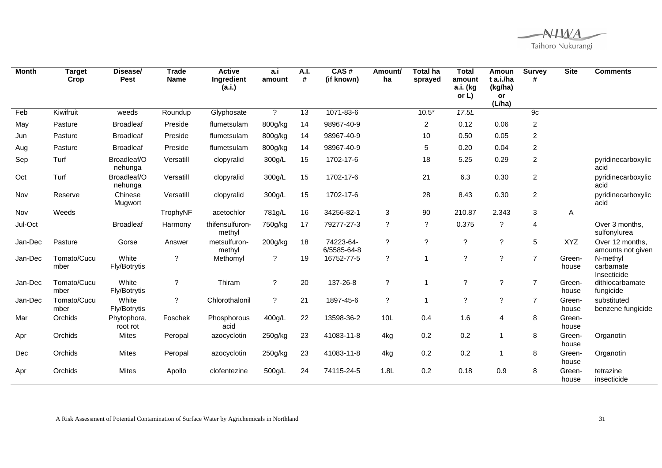| <b>Month</b> | <b>Target</b><br>Crop | Disease/<br><b>Pest</b> | <b>Trade</b><br><b>Name</b> | <b>Active</b><br>Ingredient<br>(a.i.) | a.i<br>amount  | A.I.<br>#       | CAS#<br>(if known)       | Amount<br>ha | <b>Total ha</b><br>sprayed | <b>Total</b><br>amount<br>a.i. (kg<br>or $L$ ) | Amoun<br>t a.i./ha<br>(kg/ha)<br>or<br>(L/ha) | <b>Survey</b><br># | <b>Site</b>     | <b>Comments</b>                      |
|--------------|-----------------------|-------------------------|-----------------------------|---------------------------------------|----------------|-----------------|--------------------------|--------------|----------------------------|------------------------------------------------|-----------------------------------------------|--------------------|-----------------|--------------------------------------|
| Feb          | Kiwifruit             | weeds                   | Roundup                     | Glyphosate                            | $\gamma$       | $\overline{13}$ | 1071-83-6                |              | $10.5*$                    | 17.5L                                          |                                               | 9 <sub>c</sub>     |                 |                                      |
| May          | Pasture               | <b>Broadleaf</b>        | Preside                     | flumetsulam                           | 800g/kg        | 14              | 98967-40-9               |              | $\overline{c}$             | 0.12                                           | 0.06                                          | $\overline{2}$     |                 |                                      |
| Jun          | Pasture               | <b>Broadleaf</b>        | Preside                     | flumetsulam                           | 800g/kg        | 14              | 98967-40-9               |              | 10                         | 0.50                                           | 0.05                                          | $\overline{2}$     |                 |                                      |
| Aug          | Pasture               | <b>Broadleaf</b>        | Preside                     | flumetsulam                           | 800g/kg        | 14              | 98967-40-9               |              | 5                          | 0.20                                           | 0.04                                          | $\overline{c}$     |                 |                                      |
| Sep          | Turf                  | Broadleaf/O<br>nehunga  | Versatill                   | clopyralid                            | 300g/L         | 15              | 1702-17-6                |              | 18                         | 5.25                                           | 0.29                                          | $\mathbf{2}$       |                 | pyridinecarboxylic<br>acid           |
| Oct          | Turf                  | Broadleaf/O<br>nehunga  | Versatill                   | clopyralid                            | 300g/L         | 15              | 1702-17-6                |              | 21                         | 6.3                                            | 0.30                                          | $\overline{2}$     |                 | pyridinecarboxylic<br>acid           |
| Nov          | Reserve               | Chinese<br>Mugwort      | Versatill                   | clopyralid                            | 300g/L         | 15              | 1702-17-6                |              | 28                         | 8.43                                           | 0.30                                          | $\overline{2}$     |                 | pyridinecarboxylic<br>acid           |
| Nov          | Weeds                 |                         | TrophyNF                    | acetochlor                            | 781g/L         | 16              | 34256-82-1               | 3            | 90                         | 210.87                                         | 2.343                                         | 3                  | A               |                                      |
| Jul-Oct      |                       | <b>Broadleaf</b>        | Harmony                     | thifensulfuron-<br>methyl             | 750g/kg        | 17              | 79277-27-3               | ?            | $\gamma$                   | 0.375                                          | ?                                             | 4                  |                 | Over 3 months,<br>sulfonylurea       |
| Jan-Dec      | Pasture               | Gorse                   | Answer                      | metsulfuron-<br>methyl                | 200g/kg        | 18              | 74223-64-<br>6/5585-64-8 | $\ddot{?}$   | ?                          | ?                                              | $\tilde{?}$                                   | $\overline{5}$     | <b>XYZ</b>      | Over 12 months,<br>amounts not given |
| Jan-Dec      | Tomato/Cucu<br>mber   | White<br>Fly/Botrytis   | ?                           | Methomyl                              | ?              | 19              | 16752-77-5               | $\tilde{?}$  | -1                         | $\gamma$                                       | $\overline{?}$                                | $\overline{7}$     | Green-<br>house | N-methyl<br>carbamate<br>Insecticide |
| Jan-Dec      | Tomato/Cucu<br>mber   | White<br>Fly/Botrytis   | $\tilde{?}$                 | Thiram                                | $\tilde{?}$    | 20              | 137-26-8                 | $\tilde{?}$  |                            | $\ddot{?}$                                     | $\overline{?}$                                | $\overline{7}$     | Green-<br>house | dithiocarbamate<br>fungicide         |
| Jan-Dec      | Tomato/Cucu<br>mber   | White<br>Fly/Botrytis   | ?                           | Chlorothalonil                        | $\overline{?}$ | 21              | 1897-45-6                | $\tilde{?}$  |                            | $\gamma$                                       | $\overline{\mathcal{C}}$                      | $\overline{7}$     | Green-<br>house | substituted<br>benzene fungicide     |
| Mar          | Orchids               | Phytophora,<br>root rot | Foschek                     | Phosphorous<br>acid                   | 400g/L         | 22              | 13598-36-2               | 10L          | 0.4                        | 1.6                                            | 4                                             | 8                  | Green-<br>house |                                      |
| Apr          | Orchids               | <b>Mites</b>            | Peropal                     | azocyclotin                           | 250g/kg        | 23              | 41083-11-8               | 4kg          | 0.2                        | 0.2                                            | $\mathbf{1}$                                  | 8                  | Green-<br>house | Organotin                            |
| Dec          | Orchids               | <b>Mites</b>            | Peropal                     | azocyclotin                           | 250g/kg        | 23              | 41083-11-8               | 4kg          | 0.2                        | 0.2                                            | $\mathbf{1}$                                  | 8                  | Green-<br>house | Organotin                            |
| Apr          | Orchids               | <b>Mites</b>            | Apollo                      | clofentezine                          | 500g/L         | 24              | 74115-24-5               | 1.8L         | 0.2                        | 0.18                                           | 0.9                                           | 8                  | Green-<br>house | tetrazine<br>insecticide             |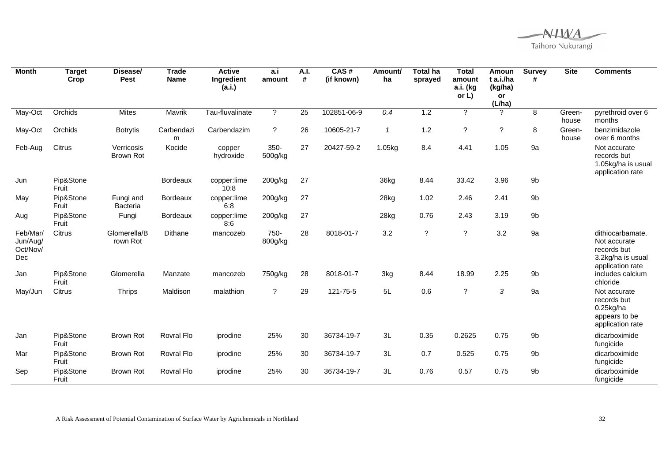

| <b>Month</b>                                   | <b>Target</b><br>Crop | Disease/<br><b>Pest</b>        | <b>Trade</b><br><b>Name</b> | <b>Active</b><br>Ingredient<br>(a.i.) | a.i<br>amount   | A.I.<br>#       | CAS#<br>(if known) | Amount/<br>ha    | <b>Total ha</b><br>sprayed | <b>Total</b><br>amount<br>a.i. (kg<br>or $L$ ) | Amoun<br>t a.i./ha<br>(kg/ha)<br>or<br>(L/ha) | <b>Survey</b><br># | <b>Site</b>     | <b>Comments</b>                                                                          |
|------------------------------------------------|-----------------------|--------------------------------|-----------------------------|---------------------------------------|-----------------|-----------------|--------------------|------------------|----------------------------|------------------------------------------------|-----------------------------------------------|--------------------|-----------------|------------------------------------------------------------------------------------------|
| May-Oct                                        | Orchids               | <b>Mites</b>                   | Mavrik                      | Tau-fluvalinate                       | $\tilde{?}$     | $\overline{25}$ | 102851-06-9        | $\overline{0.4}$ | 1.2                        | $\tilde{?}$                                    | ?                                             | 8                  | Green-<br>house | pyrethroid over 6<br>months                                                              |
| May-Oct                                        | Orchids               | <b>Botrytis</b>                | Carbendazi<br>m             | Carbendazim                           | $\overline{?}$  | 26              | 10605-21-7         | $\mathbf{1}$     | 1.2                        | $\overline{?}$                                 | $\overline{\phantom{a}}$                      | 8                  | Green-<br>house | benzimidazole<br>over 6 months                                                           |
| Feb-Aug                                        | Citrus                | Verricosis<br><b>Brown Rot</b> | Kocide                      | copper<br>hydroxide                   | 350-<br>500g/kg | 27              | 20427-59-2         | 1.05kg           | 8.4                        | 4.41                                           | 1.05                                          | 9a                 |                 | Not accurate<br>records but<br>1.05kg/ha is usual<br>application rate                    |
| Jun                                            | Pip&Stone<br>Fruit    |                                | <b>Bordeaux</b>             | copper:lime<br>10:8                   | 200g/kg         | 27              |                    | 36kg             | 8.44                       | 33.42                                          | 3.96                                          | 9 <sub>b</sub>     |                 |                                                                                          |
| May                                            | Pip&Stone<br>Fruit    | Fungi and<br>Bacteria          | Bordeaux                    | copper:lime<br>6:8                    | 200g/kg         | 27              |                    | 28kg             | 1.02                       | 2.46                                           | 2.41                                          | 9 <sub>b</sub>     |                 |                                                                                          |
| Aug                                            | Pip&Stone<br>Fruit    | Fungi                          | <b>Bordeaux</b>             | copper:lime<br>8:6                    | 200g/kg         | 27              |                    | 28kg             | 0.76                       | 2.43                                           | 3.19                                          | 9 <sub>b</sub>     |                 |                                                                                          |
| Feb/Mar/<br>Jun/Aug/<br>Oct/Nov/<br><b>Dec</b> | Citrus                | Glomerella/B<br>rown Rot       | Dithane                     | mancozeb                              | 750-<br>800g/kg | 28              | 8018-01-7          | 3.2              | ?                          | $\overline{?}$                                 | 3.2                                           | 9a                 |                 | dithiocarbamate.<br>Not accurate<br>records but<br>3.2kg/ha is usual<br>application rate |
| Jan                                            | Pip&Stone<br>Fruit    | Glomerella                     | Manzate                     | mancozeb                              | 750g/kg         | 28              | 8018-01-7          | 3kg              | 8.44                       | 18.99                                          | 2.25                                          | 9b                 |                 | includes calcium<br>chloride                                                             |
| May/Jun                                        | Citrus                | <b>Thrips</b>                  | Maldison                    | malathion                             | $\gamma$        | 29              | 121-75-5           | 5L               | 0.6                        | $\ddot{\phantom{0}}$                           | 3                                             | 9a                 |                 | Not accurate<br>records but<br>$0.25$ kg/ha<br>appears to be<br>application rate         |
| Jan                                            | Pip&Stone<br>Fruit    | <b>Brown Rot</b>               | Rovral Flo                  | iprodine                              | 25%             | 30              | 36734-19-7         | 3L               | 0.35                       | 0.2625                                         | 0.75                                          | 9 <sub>b</sub>     |                 | dicarboximide<br>fungicide                                                               |
| Mar                                            | Pip&Stone<br>Fruit    | <b>Brown Rot</b>               | Rovral Flo                  | iprodine                              | 25%             | 30              | 36734-19-7         | 3L               | 0.7                        | 0.525                                          | 0.75                                          | 9b                 |                 | dicarboximide<br>fungicide                                                               |
| Sep                                            | Pip&Stone<br>Fruit    | <b>Brown Rot</b>               | Rovral Flo                  | iprodine                              | 25%             | 30              | 36734-19-7         | 3L               | 0.76                       | 0.57                                           | 0.75                                          | 9b                 |                 | dicarboximide<br>fungicide                                                               |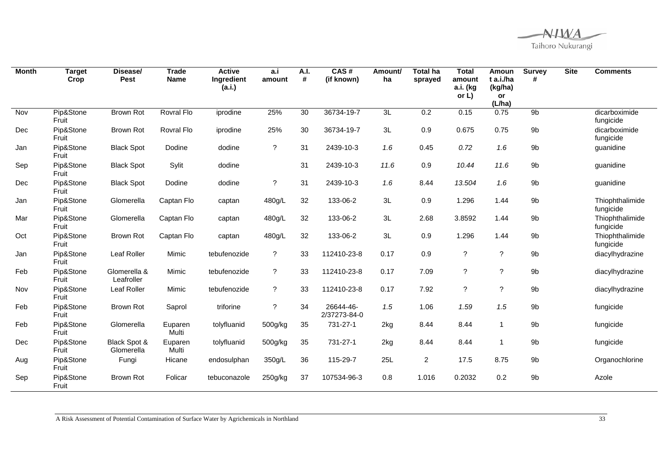| <b>Month</b> | <b>Target</b><br>Crop | Disease/<br><b>Pest</b>    | <b>Trade</b><br><b>Name</b> | <b>Active</b><br>Ingredient<br>(a.i.) | a.i<br>amount            | A.I.<br># | CAS#<br>(if known)        | Amount/<br>ha | <b>Total ha</b><br>sprayed | <b>Total</b><br>amount<br>a.i. (kg<br>or $L$ ) | <b>Amoun</b><br>t a.i./ha<br>(kg/ha)<br>or<br>(L/ha) | <b>Survey</b><br># | <b>Site</b> | <b>Comments</b>              |
|--------------|-----------------------|----------------------------|-----------------------------|---------------------------------------|--------------------------|-----------|---------------------------|---------------|----------------------------|------------------------------------------------|------------------------------------------------------|--------------------|-------------|------------------------------|
| Nov          | Pip&Stone<br>Fruit    | <b>Brown Rot</b>           | Rovral Flo                  | iprodine                              | 25%                      | 30        | 36734-19-7                | 3L            | 0.2                        | 0.15                                           | 0.75                                                 | 9 <sub>b</sub>     |             | dicarboximide<br>fungicide   |
| Dec          | Pip&Stone<br>Fruit    | <b>Brown Rot</b>           | Rovral Flo                  | iprodine                              | 25%                      | 30        | 36734-19-7                | 3L            | 0.9                        | 0.675                                          | 0.75                                                 | 9b                 |             | dicarboximide<br>fungicide   |
| Jan          | Pip&Stone<br>Fruit    | <b>Black Spot</b>          | Dodine                      | dodine                                | $\overline{?}$           | 31        | 2439-10-3                 | 1.6           | 0.45                       | 0.72                                           | 1.6                                                  | 9 <sub>b</sub>     |             | guanidine                    |
| Sep          | Pip&Stone<br>Fruit    | <b>Black Spot</b>          | Sylit                       | dodine                                |                          | 31        | 2439-10-3                 | 11.6          | 0.9                        | 10.44                                          | 11.6                                                 | 9 <sub>b</sub>     |             | guanidine                    |
| Dec          | Pip&Stone<br>Fruit    | <b>Black Spot</b>          | Dodine                      | dodine                                | $\ddot{?}$               | 31        | 2439-10-3                 | 1.6           | 8.44                       | 13.504                                         | 1.6                                                  | 9b                 |             | guanidine                    |
| Jan          | Pip&Stone<br>Fruit    | Glomerella                 | Captan Flo                  | captan                                | 480g/L                   | 32        | 133-06-2                  | 3L            | 0.9                        | 1.296                                          | 1.44                                                 | 9b                 |             | Thiophthalimide<br>fungicide |
| Mar          | Pip&Stone<br>Fruit    | Glomerella                 | Captan Flo                  | captan                                | 480g/L                   | 32        | 133-06-2                  | 3L            | 2.68                       | 3.8592                                         | 1.44                                                 | 9 <sub>b</sub>     |             | Thiophthalimide<br>fungicide |
| Oct          | Pip&Stone<br>Fruit    | Brown Rot                  | Captan Flo                  | captan                                | 480g/L                   | 32        | 133-06-2                  | 3L            | 0.9                        | 1.296                                          | 1.44                                                 | 9b                 |             | Thiophthalimide<br>fungicide |
| Jan          | Pip&Stone<br>Fruit    | Leaf Roller                | Mimic                       | tebufenozide                          | $\ddot{?}$               | 33        | 112410-23-8               | 0.17          | 0.9                        | $\tilde{?}$                                    | $\overline{\mathcal{E}}$                             | 9 <sub>b</sub>     |             | diacylhydrazine              |
| Feb          | Pip&Stone<br>Fruit    | Glomerella &<br>Leafroller | Mimic                       | tebufenozide                          | $\ddot{\phantom{0}}$     | 33        | 112410-23-8               | 0.17          | 7.09                       | $\ddot{?}$                                     | $\ddot{?}$                                           | 9 <sub>b</sub>     |             | diacylhydrazine              |
| Nov          | Pip&Stone<br>Fruit    | Leaf Roller                | Mimic                       | tebufenozide                          | $\ddot{\phantom{0}}$     | 33        | 112410-23-8               | 0.17          | 7.92                       | $\tilde{?}$                                    | $\tilde{?}$                                          | 9b                 |             | diacylhydrazine              |
| Feb          | Pip&Stone<br>Fruit    | Brown Rot                  | Saprol                      | triforine                             | $\overline{\mathcal{E}}$ | 34        | 26644-46-<br>2/37273-84-0 | 1.5           | 1.06                       | 1.59                                           | 1.5                                                  | 9b                 |             | fungicide                    |
| Feb          | Pip&Stone<br>Fruit    | Glomerella                 | Euparen<br>Multi            | tolyfluanid                           | 500g/kg                  | 35        | 731-27-1                  | 2kg           | 8.44                       | 8.44                                           | $\mathbf{1}$                                         | 9b                 |             | fungicide                    |
| Dec          | Pip&Stone<br>Fruit    | Black Spot &<br>Glomerella | Euparen<br>Multi            | tolyfluanid                           | 500g/kg                  | 35        | 731-27-1                  | 2kg           | 8.44                       | 8.44                                           | $\mathbf{1}$                                         | 9b                 |             | fungicide                    |
| Aug          | Pip&Stone<br>Fruit    | Fungi                      | Hicane                      | endosulphan                           | 350g/L                   | 36        | 115-29-7                  | <b>25L</b>    | $\overline{a}$             | 17.5                                           | 8.75                                                 | 9 <sub>b</sub>     |             | Organochlorine               |
| Sep          | Pip&Stone<br>Fruit    | <b>Brown Rot</b>           | Folicar                     | tebuconazole                          | 250g/kg                  | 37        | 107534-96-3               | 0.8           | 1.016                      | 0.2032                                         | 0.2                                                  | 9 <sub>b</sub>     |             | Azole                        |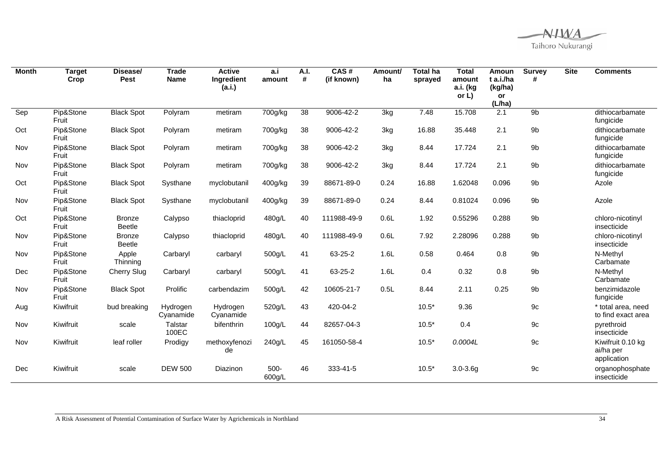

| <b>Month</b> | <b>Target</b><br>Crop | Disease/<br><b>Pest</b>        | <b>Trade</b><br><b>Name</b> | <b>Active</b><br>Ingredient<br>(a.i.) | a.i<br>amount     | A.I.<br>#       | CAS#<br>(if known) | Amount/<br>ha | <b>Total ha</b><br>sprayed | <b>Total</b><br>amount<br>a.i. (kg<br>or $L$ ) | Amoun<br>t a.i./ha<br>(kg/ha)<br>or<br>(L/ha) | <b>Survey</b><br># | <b>Site</b> | <b>Comments</b>                               |
|--------------|-----------------------|--------------------------------|-----------------------------|---------------------------------------|-------------------|-----------------|--------------------|---------------|----------------------------|------------------------------------------------|-----------------------------------------------|--------------------|-------------|-----------------------------------------------|
| Sep          | Pip&Stone<br>Fruit    | <b>Black Spot</b>              | Polyram                     | metiram                               | 700g/kg           | $\overline{38}$ | 9006-42-2          | 3kg           | 7.48                       | 15.708                                         | 2.1                                           | 9 <sub>b</sub>     |             | dithiocarbamate<br>fungicide                  |
| Oct          | Pip&Stone<br>Fruit    | <b>Black Spot</b>              | Polyram                     | metiram                               | 700g/kg           | 38              | 9006-42-2          | 3kg           | 16.88                      | 35.448                                         | 2.1                                           | 9b                 |             | dithiocarbamate<br>fungicide                  |
| Nov          | Pip&Stone<br>Fruit    | <b>Black Spot</b>              | Polyram                     | metiram                               | 700g/kg           | 38              | 9006-42-2          | 3kg           | 8.44                       | 17.724                                         | 2.1                                           | 9b                 |             | dithiocarbamate<br>fungicide                  |
| Nov          | Pip&Stone<br>Fruit    | <b>Black Spot</b>              | Polyram                     | metiram                               | 700g/kg           | 38              | 9006-42-2          | 3kg           | 8.44                       | 17.724                                         | 2.1                                           | 9b                 |             | dithiocarbamate<br>fungicide                  |
| Oct          | Pip&Stone<br>Fruit    | <b>Black Spot</b>              | Systhane                    | myclobutanil                          | 400g/kg           | 39              | 88671-89-0         | 0.24          | 16.88                      | 1.62048                                        | 0.096                                         | 9 <sub>b</sub>     |             | Azole                                         |
| Nov          | Pip&Stone<br>Fruit    | <b>Black Spot</b>              | Systhane                    | myclobutanil                          | 400g/kg           | 39              | 88671-89-0         | 0.24          | 8.44                       | 0.81024                                        | 0.096                                         | 9b                 |             | Azole                                         |
| Oct          | Pip&Stone<br>Fruit    | <b>Bronze</b><br><b>Beetle</b> | Calypso                     | thiacloprid                           | 480g/L            | 40              | 111988-49-9        | 0.6L          | 1.92                       | 0.55296                                        | 0.288                                         | 9b                 |             | chloro-nicotinyl<br>insecticide               |
| Nov          | Pip&Stone<br>Fruit    | <b>Bronze</b><br><b>Beetle</b> | Calypso                     | thiacloprid                           | 480g/L            | 40              | 111988-49-9        | 0.6L          | 7.92                       | 2.28096                                        | 0.288                                         | 9 <sub>b</sub>     |             | chloro-nicotinyl<br>insecticide               |
| Nov          | Pip&Stone<br>Fruit    | Apple<br>Thinning              | Carbaryl                    | carbaryl                              | 500g/L            | 41              | 63-25-2            | 1.6L          | 0.58                       | 0.464                                          | 0.8                                           | 9 <sub>b</sub>     |             | N-Methyl<br>Carbamate                         |
| Dec          | Pip&Stone<br>Fruit    | <b>Cherry Slug</b>             | Carbaryl                    | carbaryl                              | 500g/L            | 41              | 63-25-2            | 1.6L          | 0.4                        | 0.32                                           | 0.8                                           | 9 <sub>b</sub>     |             | N-Methyl<br>Carbamate                         |
| Nov          | Pip&Stone<br>Fruit    | <b>Black Spot</b>              | Prolific                    | carbendazim                           | 500g/L            | 42              | 10605-21-7         | 0.5L          | 8.44                       | 2.11                                           | 0.25                                          | 9b                 |             | benzimidazole<br>fungicide                    |
| Aug          | Kiwifruit             | bud breaking                   | Hydrogen<br>Cyanamide       | Hydrogen<br>Cyanamide                 | 520g/L            | 43              | 420-04-2           |               | $10.5*$                    | 9.36                                           |                                               | 9c                 |             | * total area, need<br>to find exact area      |
| Nov          | Kiwifruit             | scale                          | <b>Talstar</b><br>100EC     | bifenthrin                            | 100g/L            | 44              | 82657-04-3         |               | $10.5*$                    | 0.4                                            |                                               | 9c                 |             | pyrethroid<br>insecticide                     |
| Nov          | Kiwifruit             | leaf roller                    | Prodigy                     | methoxyfenozi<br>de                   | 240g/L            | 45              | 161050-58-4        |               | $10.5*$                    | 0.0004L                                        |                                               | 9c                 |             | Kiwifruit 0.10 kg<br>ai/ha per<br>application |
| Dec          | Kiwifruit             | scale                          | <b>DEW 500</b>              | Diazinon                              | $500 -$<br>600g/L | 46              | 333-41-5           |               | $10.5*$                    | $3.0 - 3.6g$                                   |                                               | 9c                 |             | organophosphate<br>insecticide                |